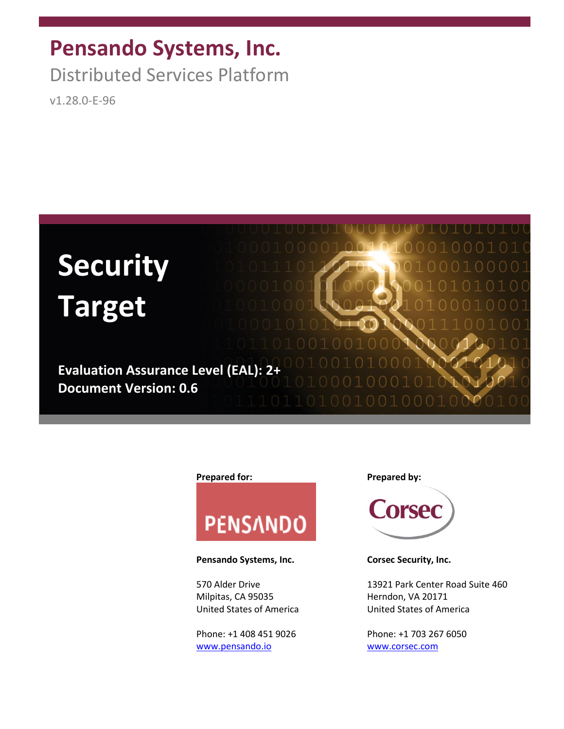# **Pensando Systems, Inc.**

Distributed Services Platform

v1.28.0-E-96



#### **Prepared for: Prepared by:**



#### Pensando Systems, Inc. **Corsec Security, Inc.**

Milpitas, CA 95035 Herndon, VA 20171

Phone: +1 408 451 9026 Phone: +1 703 267 6050 [www.pensando.io](http://www.pensando.io/) [www.corsec.com](http://www.corsec.com/)



570 Alder Drive 13921 Park Center Road Suite 460 United States of America United States of America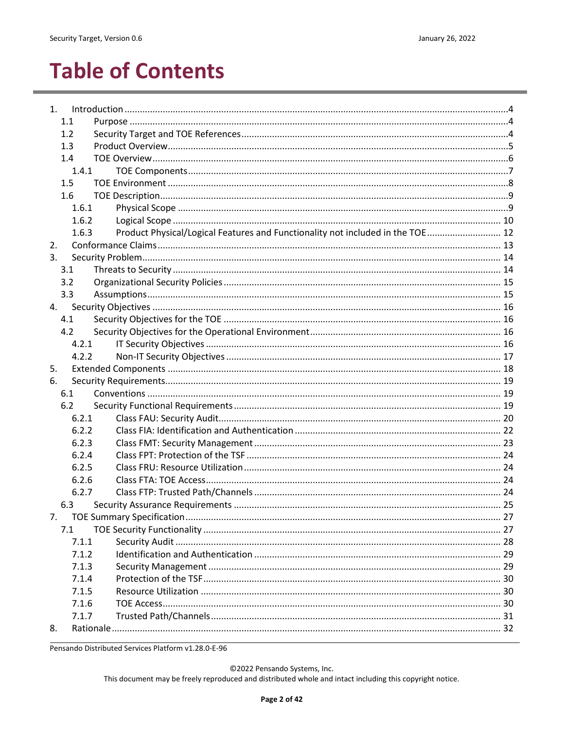# **Table of Contents**

| 1.  |       |                                                                                |  |
|-----|-------|--------------------------------------------------------------------------------|--|
| 1.1 |       |                                                                                |  |
| 1.2 |       |                                                                                |  |
| 1.3 |       |                                                                                |  |
| 1.4 |       |                                                                                |  |
|     | 1.4.1 |                                                                                |  |
| 1.5 |       |                                                                                |  |
| 1.6 |       |                                                                                |  |
|     | 1.6.1 |                                                                                |  |
|     | 1.6.2 |                                                                                |  |
|     | 1.6.3 | Product Physical/Logical Features and Functionality not included in the TOE 12 |  |
| 2.  |       |                                                                                |  |
| 3.  |       |                                                                                |  |
| 3.1 |       |                                                                                |  |
| 3.2 |       |                                                                                |  |
| 3.3 |       |                                                                                |  |
| 4.  |       |                                                                                |  |
| 4.1 |       |                                                                                |  |
| 4.2 |       |                                                                                |  |
|     | 4.2.1 |                                                                                |  |
|     | 4.2.2 |                                                                                |  |
| 5.  |       |                                                                                |  |
| 6.  |       |                                                                                |  |
| 6.1 |       |                                                                                |  |
| 6.2 |       |                                                                                |  |
|     | 6.2.1 |                                                                                |  |
|     | 6.2.2 |                                                                                |  |
|     | 6.2.3 |                                                                                |  |
|     | 6.2.4 |                                                                                |  |
|     | 6.2.5 |                                                                                |  |
|     | 6.2.6 |                                                                                |  |
|     | 6.2.7 |                                                                                |  |
| 6.3 |       |                                                                                |  |
| 7.  |       |                                                                                |  |
| 7.1 |       |                                                                                |  |
|     | 7.1.1 |                                                                                |  |
|     | 7.1.2 |                                                                                |  |
|     | 7.1.3 |                                                                                |  |
|     | 7.1.4 |                                                                                |  |
|     | 7.1.5 |                                                                                |  |
|     | 7.1.6 |                                                                                |  |
|     | 7.1.7 |                                                                                |  |
| 8.  |       |                                                                                |  |

Pensando Distributed Services Platform v1.28.0-E-96

©2022 Pensando Systems, Inc.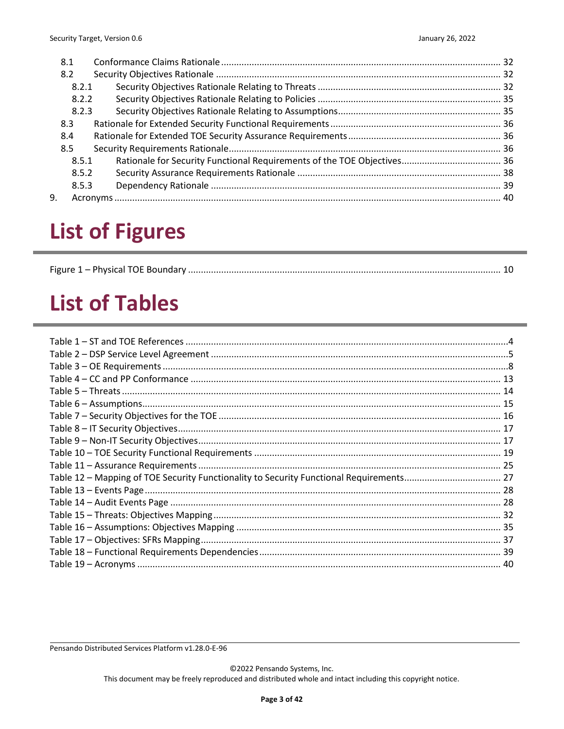| 8.1 |       |  |  |  |
|-----|-------|--|--|--|
| 8.2 |       |  |  |  |
|     | 8.2.1 |  |  |  |
|     | 8.2.2 |  |  |  |
|     | 8.2.3 |  |  |  |
| 8.3 |       |  |  |  |
| 8.4 |       |  |  |  |
| 8.5 |       |  |  |  |
|     | 8.5.1 |  |  |  |
|     | 8.5.2 |  |  |  |
|     | 8.5.3 |  |  |  |
| 9.  |       |  |  |  |

# **List of Figures**

|--|--|

# **List of Tables**

| Table 12 - Mapping of TOE Security Functionality to Security Functional Requirements 27 |  |
|-----------------------------------------------------------------------------------------|--|
|                                                                                         |  |
|                                                                                         |  |
|                                                                                         |  |
|                                                                                         |  |
|                                                                                         |  |
|                                                                                         |  |
|                                                                                         |  |
|                                                                                         |  |
|                                                                                         |  |
|                                                                                         |  |
|                                                                                         |  |
|                                                                                         |  |
|                                                                                         |  |
|                                                                                         |  |
|                                                                                         |  |
|                                                                                         |  |
|                                                                                         |  |
|                                                                                         |  |

Pensando Distributed Services Platform v1.28.0-E-96

©2022 Pensando Systems, Inc.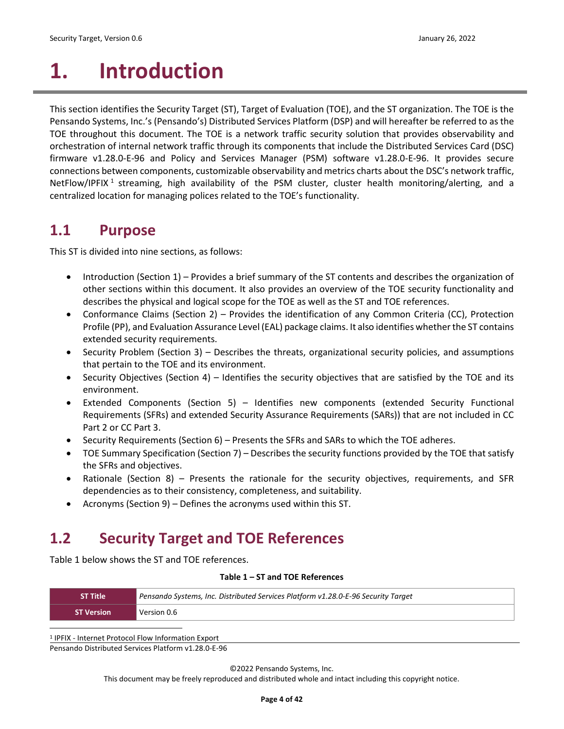# <span id="page-3-0"></span>**1. Introduction**

This section identifies the Security Target (ST), Target of Evaluation (TOE), and the ST organization. The TOE is the Pensando Systems, Inc.'s (Pensando's) Distributed Services Platform (DSP) and will hereafter be referred to as the TOE throughout this document. The TOE is a network traffic security solution that provides observability and orchestration of internal network traffic through its components that include the Distributed Services Card (DSC) firmware v1.28.0-E-96 and Policy and Services Manager (PSM) software v1.28.0-E-96. It provides secure connections between components, customizable observability and metrics charts about the DSC's network traffic, NetFlow/IPFIX<sup>1</sup> streaming, high availability of the PSM cluster, cluster health monitoring/alerting, and a centralized location for managing polices related to the TOE's functionality.

### <span id="page-3-1"></span>**1.1 Purpose**

This ST is divided into nine sections, as follows:

- [Introduction](#page-3-0) (Section [1\)](#page-3-0) Provides a brief summary of the ST contents and describes the organization of other sections within this document. It also provides an overview of the TOE security functionality and describes the physical and logical scope for the TOE as well as the ST and TOE references.
- [Conformance Claims](#page-12-0) (Section [2\)](#page-12-0) Provides the identification of any Common Criteria (CC), Protection Profile (PP), and Evaluation Assurance Level (EAL) package claims. It also identifies whether the ST contains extended security requirements.
- [Security Problem](#page-13-0) (Section [3\)](#page-13-0) Describes the threats, organizational security policies, and assumptions that pertain to the TOE and its environment.
- [Security Objectives](#page-15-0) (Section [4\)](#page-15-0) Identifies the security objectives that are satisfied by the TOE and its environment.
- [Extended Components](#page-17-0) (Section [5\)](#page-17-0) Identifies new components (extended Security Functional Requirements (SFRs) and extended Security Assurance Requirements (SARs)) that are not included in CC Part 2 or CC Part 3.
- [Security Requirements](#page-18-0) (Sectio[n 6\)](#page-18-0) Presents the SFRs and SARs to which the TOE adheres.
- [TOE Summary](#page-26-0) Specification (Section [7\)](#page-26-0) Describes the security functions provided by the TOE that satisfy the SFRs and objectives.
- [Rationale](#page-31-0) (Section [8\)](#page-31-0) Presents the rationale for the security objectives, requirements, and SFR dependencies as to their consistency, completeness, and suitability.
- [Acronyms](#page-39-0) (Section [9\)](#page-39-0) Defines the acronyms used within this ST.

## <span id="page-3-2"></span>**1.2 Security Target and TOE References**

<span id="page-3-3"></span>[Table 1](#page-3-3) below shows the ST and TOE references.

#### **Table 1 – ST and TOE References**

| <b>ST Title</b>   | Pensando Systems, Inc. Distributed Services Platform v1.28.0-E-96 Security Target |
|-------------------|-----------------------------------------------------------------------------------|
| <b>ST Version</b> | Version 0.6                                                                       |

Pensando Distributed Services Platform v1.28.0-E-96 <sup>1</sup> IPFIX - Internet Protocol Flow Information Export

©2022 Pensando Systems, Inc.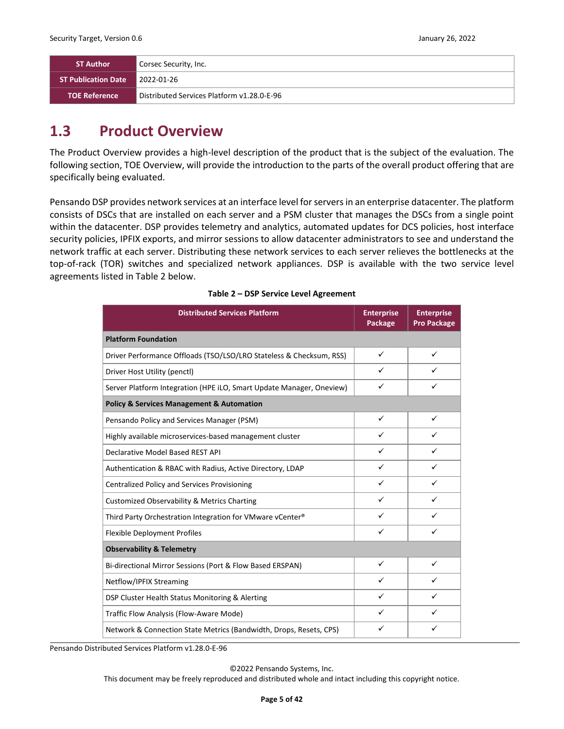| <b>ST Author</b>           | Corsec Security, Inc.                      |
|----------------------------|--------------------------------------------|
| <b>ST Publication Date</b> | 2022-01-26                                 |
| <b>TOE Reference</b>       | Distributed Services Platform v1.28.0-E-96 |

### <span id="page-4-0"></span>**1.3 Product Overview**

The Product Overview provides a high-level description of the product that is the subject of the evaluation. The following section, TOE Overview, will provide the introduction to the parts of the overall product offering that are specifically being evaluated.

Pensando DSP provides network services at an interface level for servers in an enterprise datacenter. The platform consists of DSCs that are installed on each server and a PSM cluster that manages the DSCs from a single point within the datacenter. DSP provides telemetry and analytics, automated updates for DCS policies, host interface security policies, IPFIX exports, and mirror sessions to allow datacenter administrators to see and understand the network traffic at each server. Distributing these network services to each server relieves the bottlenecks at the top-of-rack (TOR) switches and specialized network appliances. DSP is available with the two service level agreements listed in [Table 2](#page-4-1) [below.](#page-4-1)

<span id="page-4-1"></span>

| <b>Distributed Services Platform</b>                                 | <b>Enterprise</b><br>Package | <b>Enterprise</b><br><b>Pro Package</b> |  |
|----------------------------------------------------------------------|------------------------------|-----------------------------------------|--|
| <b>Platform Foundation</b>                                           |                              |                                         |  |
| Driver Performance Offloads (TSO/LSO/LRO Stateless & Checksum, RSS)  | ✓                            | ✓                                       |  |
| Driver Host Utility (penctl)                                         | ✓                            | ✓                                       |  |
| Server Platform Integration (HPE iLO, Smart Update Manager, Oneview) | ✓                            | ✓                                       |  |
| <b>Policy &amp; Services Management &amp; Automation</b>             |                              |                                         |  |
| Pensando Policy and Services Manager (PSM)                           | $\checkmark$                 | ✓                                       |  |
| Highly available microservices-based management cluster              | ✓                            |                                         |  |
| Declarative Model Based REST API                                     | ✓                            | ✓                                       |  |
| Authentication & RBAC with Radius, Active Directory, LDAP            | ✓                            | ✓                                       |  |
| <b>Centralized Policy and Services Provisioning</b>                  | ✓                            | ✓                                       |  |
| <b>Customized Observability &amp; Metrics Charting</b>               | $\checkmark$                 | ✓                                       |  |
| Third Party Orchestration Integration for VMware vCenter®            | ✓                            | ✓                                       |  |
| <b>Flexible Deployment Profiles</b>                                  | ✓                            |                                         |  |
| <b>Observability &amp; Telemetry</b>                                 |                              |                                         |  |
| Bi-directional Mirror Sessions (Port & Flow Based ERSPAN)            |                              | ✓                                       |  |
| Netflow/IPFIX Streaming                                              | ✓                            | ✓                                       |  |
| DSP Cluster Health Status Monitoring & Alerting                      | $\checkmark$                 | ✓                                       |  |
| Traffic Flow Analysis (Flow-Aware Mode)                              | ✓                            |                                         |  |
| Network & Connection State Metrics (Bandwidth, Drops, Resets, CPS)   | ✓                            | ✓                                       |  |

Pensando Distributed Services Platform v1.28.0-E-96

©2022 Pensando Systems, Inc.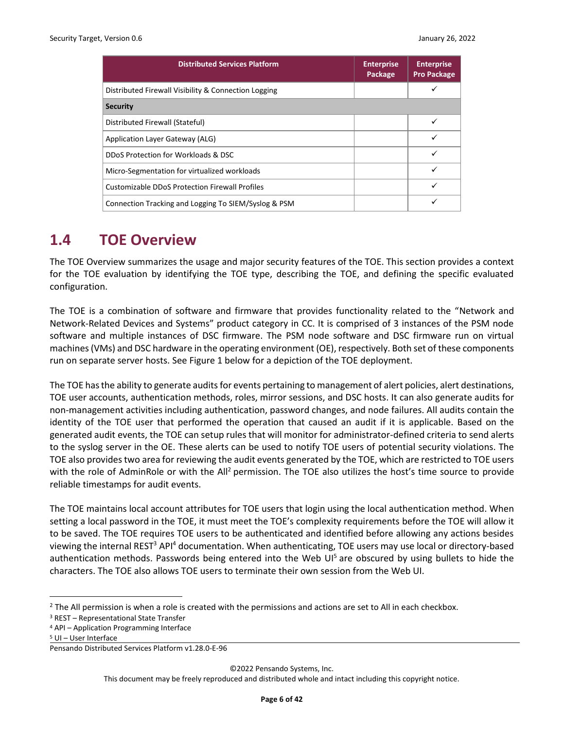| <b>Distributed Services Platform</b>                  | <b>Enterprise</b><br>Package | <b>Enterprise</b><br><b>Pro Package</b> |  |
|-------------------------------------------------------|------------------------------|-----------------------------------------|--|
| Distributed Firewall Visibility & Connection Logging  |                              | ✓                                       |  |
| <b>Security</b>                                       |                              |                                         |  |
| Distributed Firewall (Stateful)                       |                              |                                         |  |
| Application Layer Gateway (ALG)                       |                              |                                         |  |
| DDoS Protection for Workloads & DSC                   |                              |                                         |  |
| Micro-Segmentation for virtualized workloads          |                              | ✓                                       |  |
| <b>Customizable DDoS Protection Firewall Profiles</b> |                              | ✓                                       |  |
| Connection Tracking and Logging To SIEM/Syslog & PSM  |                              | ✓                                       |  |

### <span id="page-5-0"></span>**1.4 TOE Overview**

The TOE Overview summarizes the usage and major security features of the TOE. This section provides a context for the TOE evaluation by identifying the TOE type, describing the TOE, and defining the specific evaluated configuration.

The TOE is a combination of software and firmware that provides functionality related to the "Network and Network-Related Devices and Systems" product category in CC. It is comprised of 3 instances of the PSM node software and multiple instances of DSC firmware. The PSM node software and DSC firmware run on virtual machines (VMs) and DSC hardware in the operating environment (OE), respectively. Both set of these components run on separate server hosts. Se[e Figure 1](#page-9-1) below for a depiction of the TOE deployment.

The TOE has the ability to generate audits for events pertaining to management of alert policies, alert destinations, TOE user accounts, authentication methods, roles, mirror sessions, and DSC hosts. It can also generate audits for non-management activities including authentication, password changes, and node failures. All audits contain the identity of the TOE user that performed the operation that caused an audit if it is applicable. Based on the generated audit events, the TOE can setup rules that will monitor for administrator-defined criteria to send alerts to the syslog server in the OE. These alerts can be used to notify TOE users of potential security violations. The TOE also provides two area for reviewing the audit events generated by the TOE, which are restricted to TOE users with the role of AdminRole or with the All<sup>2</sup> permission. The TOE also utilizes the host's time source to provide reliable timestamps for audit events.

The TOE maintains local account attributes for TOE users that login using the local authentication method. When setting a local password in the TOE, it must meet the TOE's complexity requirements before the TOE will allow it to be saved. The TOE requires TOE users to be authenticated and identified before allowing any actions besides viewing the internal REST<sup>3</sup> API<sup>4</sup> documentation. When authenticating, TOE users may use local or directory-based authentication methods. Passwords being entered into the Web  $UI<sup>5</sup>$  are obscured by using bullets to hide the characters. The TOE also allows TOE users to terminate their own session from the Web UI.

©2022 Pensando Systems, Inc.

 $2$  The All permission is when a role is created with the permissions and actions are set to All in each checkbox.

<sup>3</sup> REST – Representational State Transfer

<sup>4</sup> API – Application Programming Interface

<sup>5</sup> UI – User Interface

Pensando Distributed Services Platform v1.28.0-E-96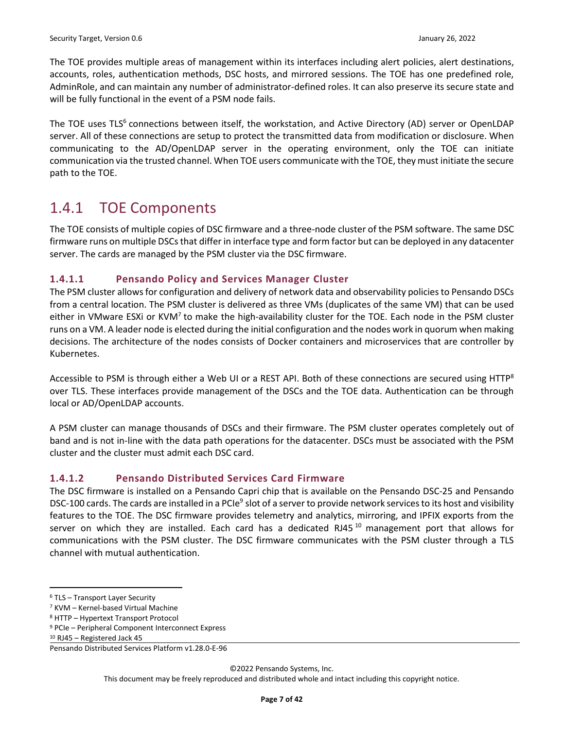The TOE provides multiple areas of management within its interfaces including alert policies, alert destinations, accounts, roles, authentication methods, DSC hosts, and mirrored sessions. The TOE has one predefined role, AdminRole, and can maintain any number of administrator-defined roles. It can also preserve its secure state and will be fully functional in the event of a PSM node fails.

The TOE uses TLS<sup>6</sup> connections between itself, the workstation, and Active Directory (AD) server or OpenLDAP server. All of these connections are setup to protect the transmitted data from modification or disclosure. When communicating to the AD/OpenLDAP server in the operating environment, only the TOE can initiate communication via the trusted channel. When TOE users communicate with the TOE, they must initiate the secure path to the TOE.

## <span id="page-6-0"></span>1.4.1 TOE Components

The TOE consists of multiple copies of DSC firmware and a three-node cluster of the PSM software. The same DSC firmware runs on multiple DSCs that differ in interface type and form factor but can be deployed in any datacenter server. The cards are managed by the PSM cluster via the DSC firmware.

#### **1.4.1.1 Pensando Policy and Services Manager Cluster**

The PSM cluster allows for configuration and delivery of network data and observability policies to Pensando DSCs from a central location. The PSM cluster is delivered as three VMs (duplicates of the same VM) that can be used either in VMware ESXi or KVM<sup>7</sup> to make the high-availability cluster for the TOE. Each node in the PSM cluster runs on a VM. A leader node is elected during the initial configuration and the nodes work in quorum when making decisions. The architecture of the nodes consists of Docker containers and microservices that are controller by Kubernetes.

Accessible to PSM is through either a Web UI or a REST API. Both of these connections are secured using HTTP<sup>8</sup> over TLS. These interfaces provide management of the DSCs and the TOE data. Authentication can be through local or AD/OpenLDAP accounts.

A PSM cluster can manage thousands of DSCs and their firmware. The PSM cluster operates completely out of band and is not in-line with the data path operations for the datacenter. DSCs must be associated with the PSM cluster and the cluster must admit each DSC card.

#### **1.4.1.2 Pensando Distributed Services Card Firmware**

The DSC firmware is installed on a Pensando Capri chip that is available on the Pensando DSC-25 and Pensando DSC-100 cards. The cards are installed in a PCIe<sup>9</sup> slot of a server to provide network services to its host and visibility features to the TOE. The DSC firmware provides telemetry and analytics, mirroring, and IPFIX exports from the server on which they are installed. Each card has a dedicated RJ45 $^{10}$  management port that allows for communications with the PSM cluster. The DSC firmware communicates with the PSM cluster through a TLS channel with mutual authentication.

©2022 Pensando Systems, Inc.

<sup>6</sup> TLS – Transport Layer Security

<sup>7</sup> KVM – Kernel-based Virtual Machine

<sup>8</sup> HTTP – Hypertext Transport Protocol

<sup>9</sup> PCIe – Peripheral Component Interconnect Express

<sup>10</sup> RJ45 – Registered Jack 45

Pensando Distributed Services Platform v1.28.0-E-96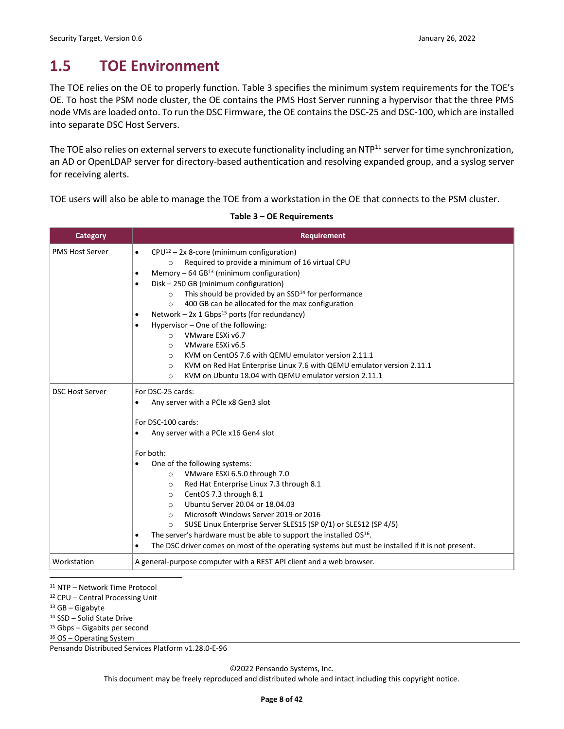## <span id="page-7-0"></span>**1.5 TOE Environment**

The TOE relies on the OE to properly function. [Table 3](#page-7-1) specifies the minimum system requirements for the TOE's OE. To host the PSM node cluster, the OE contains the PMS Host Server running a hypervisor that the three PMS node VMs are loaded onto. To run the DSC Firmware, the OE contains the DSC-25 and DSC-100, which are installed into separate DSC Host Servers.

The TOE also relies on external servers to execute functionality including an NTP $^{11}$  server for time synchronization, an AD or OpenLDAP server for directory-based authentication and resolving expanded group, and a syslog server for receiving alerts.

<span id="page-7-1"></span>TOE users will also be able to manage the TOE from a workstation in the OE that connects to the PSM cluster.

| <b>Category</b>        | <b>Requirement</b>                                                                                                                                                                                                                                                                                                                                                                                                                                                                                                                                                                                                                                                                                                                                                                                                            |
|------------------------|-------------------------------------------------------------------------------------------------------------------------------------------------------------------------------------------------------------------------------------------------------------------------------------------------------------------------------------------------------------------------------------------------------------------------------------------------------------------------------------------------------------------------------------------------------------------------------------------------------------------------------------------------------------------------------------------------------------------------------------------------------------------------------------------------------------------------------|
| <b>PMS Host Server</b> | $CPU^{12} - 2x$ 8-core (minimum configuration)<br>$\bullet$<br>Required to provide a minimum of 16 virtual CPU<br>$\circ$<br>Memory $-64$ GB <sup>13</sup> (minimum configuration)<br>$\bullet$<br>Disk - 250 GB (minimum configuration)<br>$\bullet$<br>This should be provided by an SSD <sup>14</sup> for performance<br>$\circ$<br>400 GB can be allocated for the max configuration<br>$\Omega$<br>Network – $2x$ 1 Gbps <sup>15</sup> ports (for redundancy)<br>$\bullet$<br>Hypervisor - One of the following:<br>$\bullet$<br>VMware ESXi v6.7<br>$\Omega$<br>VMware ESXi v6.5<br>$\Omega$<br>KVM on CentOS 7.6 with QEMU emulator version 2.11.1<br>$\circ$<br>KVM on Red Hat Enterprise Linux 7.6 with QEMU emulator version 2.11.1<br>$\circ$<br>KVM on Ubuntu 18.04 with QEMU emulator version 2.11.1<br>$\Omega$ |
| <b>DSC Host Server</b> | For DSC-25 cards:<br>Any server with a PCIe x8 Gen3 slot<br>$\bullet$<br>For DSC-100 cards:<br>Any server with a PCIe x16 Gen4 slot<br>$\bullet$<br>For both:<br>One of the following systems:<br>$\bullet$<br>VMware ESXi 6.5.0 through 7.0<br>$\circ$<br>Red Hat Enterprise Linux 7.3 through 8.1<br>$\circ$<br>CentOS 7.3 through 8.1<br>$\circ$<br>Ubuntu Server 20.04 or 18.04.03<br>$\circ$<br>Microsoft Windows Server 2019 or 2016<br>$\circ$<br>SUSE Linux Enterprise Server SLES15 (SP 0/1) or SLES12 (SP 4/5)<br>$\circ$<br>The server's hardware must be able to support the installed OS <sup>16</sup> .<br>٠<br>The DSC driver comes on most of the operating systems but must be installed if it is not present.<br>$\bullet$                                                                                  |
| Workstation            | A general-purpose computer with a REST API client and a web browser.                                                                                                                                                                                                                                                                                                                                                                                                                                                                                                                                                                                                                                                                                                                                                          |

#### **Table 3 – OE Requirements**

<sup>11</sup> NTP – Network Time Protocol

<sup>12</sup> CPU – Central Processing Unit

 $13$  GB – Gigabyte

<sup>14</sup> SSD – Solid State Drive

<sup>15</sup> Gbps – Gigabits per second

<sup>16</sup> OS – Operating System

Pensando Distributed Services Platform v1.28.0-E-96

©2022 Pensando Systems, Inc.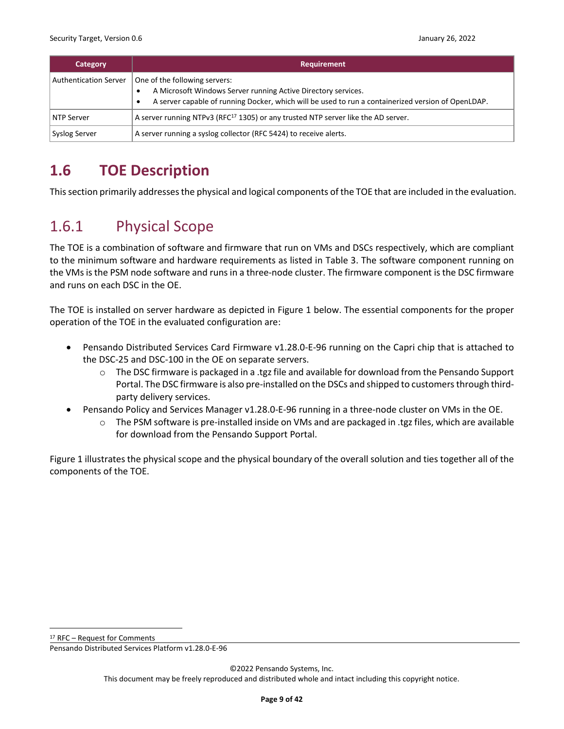| Category                     | <b>Requirement</b>                                                                                                                                                                                                |
|------------------------------|-------------------------------------------------------------------------------------------------------------------------------------------------------------------------------------------------------------------|
| <b>Authentication Server</b> | One of the following servers:<br>A Microsoft Windows Server running Active Directory services.<br>A server capable of running Docker, which will be used to run a containerized version of OpenLDAP.<br>$\bullet$ |
| NTP Server                   | A server running NTPv3 (RFC <sup>17</sup> 1305) or any trusted NTP server like the AD server.                                                                                                                     |
| Syslog Server                | A server running a syslog collector (RFC 5424) to receive alerts.                                                                                                                                                 |

# <span id="page-8-0"></span>**1.6 TOE Description**

This section primarily addresses the physical and logical components of the TOE that are included in the evaluation.

# <span id="page-8-1"></span>1.6.1 Physical Scope

The TOE is a combination of software and firmware that run on VMs and DSCs respectively, which are compliant to the minimum software and hardware requirements as listed in [Table 3.](#page-7-1) The software component running on the VMs is the PSM node software and runs in a three-node cluster. The firmware component is the DSC firmware and runs on each DSC in the OE.

The TOE is installed on server hardware as depicted in [Figure 1](#page-9-1) below. The essential components for the proper operation of the TOE in the evaluated configuration are:

- Pensando Distributed Services Card Firmware v1.28.0-E-96 running on the Capri chip that is attached to the DSC-25 and DSC-100 in the OE on separate servers.
	- o The DSC firmware is packaged in a .tgz file and available for download from the Pensando Support Portal. The DSC firmware is also pre-installed on the DSCs and shipped to customers through thirdparty delivery services.
- Pensando Policy and Services Manager v1.28.0-E-96 running in a three-node cluster on VMs in the OE.
	- $\circ$  The PSM software is pre-installed inside on VMs and are packaged in .tgz files, which are available for download from the Pensando Support Portal.

[Figure 1](#page-9-1) illustrates the physical scope and the physical boundary of the overall solution and ties together all of the components of the TOE.

<sup>17</sup> RFC – Request for Comments

Pensando Distributed Services Platform v1.28.0-E-96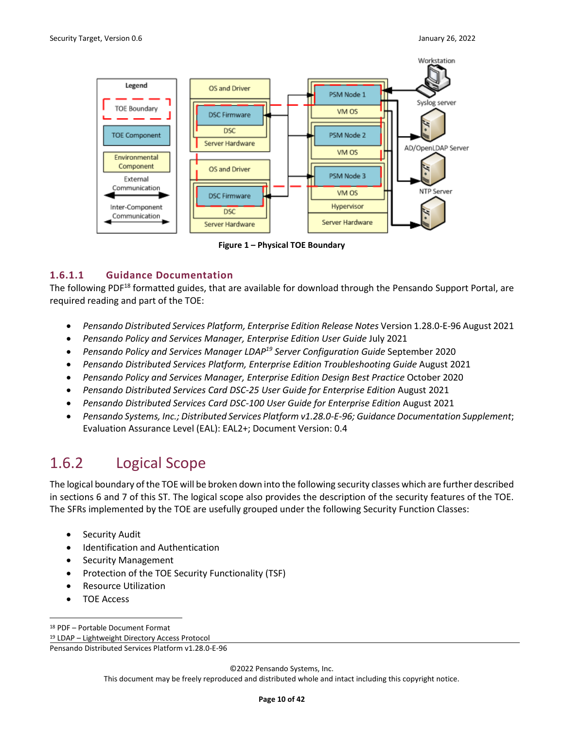

**Figure 1 – Physical TOE Boundary**

#### <span id="page-9-1"></span>**1.6.1.1 Guidance Documentation**

The following PDF<sup>18</sup> formatted guides, that are available for download through the Pensando Support Portal, are required reading and part of the TOE:

- *Pensando Distributed Services Platform, Enterprise Edition Release Notes* Version 1.28.0-E-96 August 2021
- *Pensando Policy and Services Manager, Enterprise Edition User Guide* July 2021
- *Pensando Policy and Services Manager LDAP19 Server Configuration Guide* September 2020
- *Pensando Distributed Services Platform, Enterprise Edition Troubleshooting Guide* August 2021
- *Pensando Policy and Services Manager, Enterprise Edition Design Best Practice* October 2020
- *Pensando Distributed Services Card DSC-25 User Guide for Enterprise Edition* August 2021
- *Pensando Distributed Services Card DSC-100 User Guide for Enterprise Edition* August 2021
- *Pensando Systems, Inc.; Distributed Services Platform v1.28.0-E-96; Guidance Documentation Supplement*; Evaluation Assurance Level (EAL): EAL2+; Document Version: 0.4

## <span id="page-9-0"></span>1.6.2 Logical Scope

The logical boundary of the TOE will be broken down into the following security classes which are further described in sections [6](#page-18-0) and [7](#page-26-0) of this ST. The logical scope also provides the description of the security features of the TOE. The SFRs implemented by the TOE are usefully grouped under the following Security Function Classes:

- Security Audit
- Identification and Authentication
- Security Management
- Protection of the TOE Security Functionality (TSF)
- Resource Utilization
- TOE Access

©2022 Pensando Systems, Inc.

<sup>18</sup> PDF – Portable Document Format

<sup>19</sup> LDAP – Lightweight Directory Access Protocol

Pensando Distributed Services Platform v1.28.0-E-96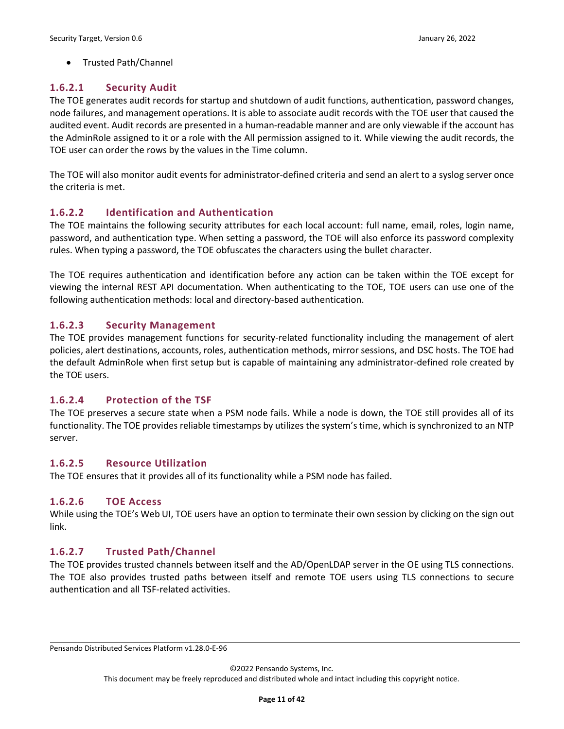#### • Trusted Path/Channel

#### **1.6.2.1 Security Audit**

The TOE generates audit records for startup and shutdown of audit functions, authentication, password changes, node failures, and management operations. It is able to associate audit records with the TOE user that caused the audited event. Audit records are presented in a human-readable manner and are only viewable if the account has the AdminRole assigned to it or a role with the All permission assigned to it. While viewing the audit records, the TOE user can order the rows by the values in the Time column.

The TOE will also monitor audit events for administrator-defined criteria and send an alert to a syslog server once the criteria is met.

#### **1.6.2.2 Identification and Authentication**

The TOE maintains the following security attributes for each local account: full name, email, roles, login name, password, and authentication type. When setting a password, the TOE will also enforce its password complexity rules. When typing a password, the TOE obfuscates the characters using the bullet character.

The TOE requires authentication and identification before any action can be taken within the TOE except for viewing the internal REST API documentation. When authenticating to the TOE, TOE users can use one of the following authentication methods: local and directory-based authentication.

#### **1.6.2.3 Security Management**

The TOE provides management functions for security-related functionality including the management of alert policies, alert destinations, accounts, roles, authentication methods, mirror sessions, and DSC hosts. The TOE had the default AdminRole when first setup but is capable of maintaining any administrator-defined role created by the TOE users.

#### **1.6.2.4 Protection of the TSF**

The TOE preserves a secure state when a PSM node fails. While a node is down, the TOE still provides all of its functionality. The TOE provides reliable timestamps by utilizes the system's time, which is synchronized to an NTP server.

#### **1.6.2.5 Resource Utilization**

The TOE ensures that it provides all of its functionality while a PSM node has failed.

#### **1.6.2.6 TOE Access**

While using the TOE's Web UI, TOE users have an option to terminate their own session by clicking on the sign out link.

#### **1.6.2.7 Trusted Path/Channel**

The TOE provides trusted channels between itself and the AD/OpenLDAP server in the OE using TLS connections. The TOE also provides trusted paths between itself and remote TOE users using TLS connections to secure authentication and all TSF-related activities.

Pensando Distributed Services Platform v1.28.0-E-96

©2022 Pensando Systems, Inc.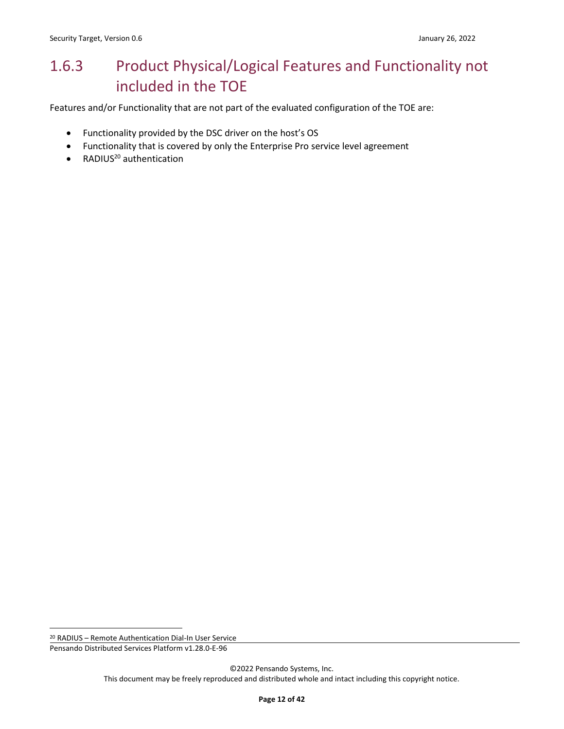# <span id="page-11-0"></span>1.6.3 Product Physical/Logical Features and Functionality not included in the TOE

Features and/or Functionality that are not part of the evaluated configuration of the TOE are:

- Functionality provided by the DSC driver on the host's OS
- Functionality that is covered by only the Enterprise Pro service level agreement
- $\bullet$  RADIUS<sup>20</sup> authentication

<sup>20</sup> RADIUS – Remote Authentication Dial-In User Service

Pensando Distributed Services Platform v1.28.0-E-96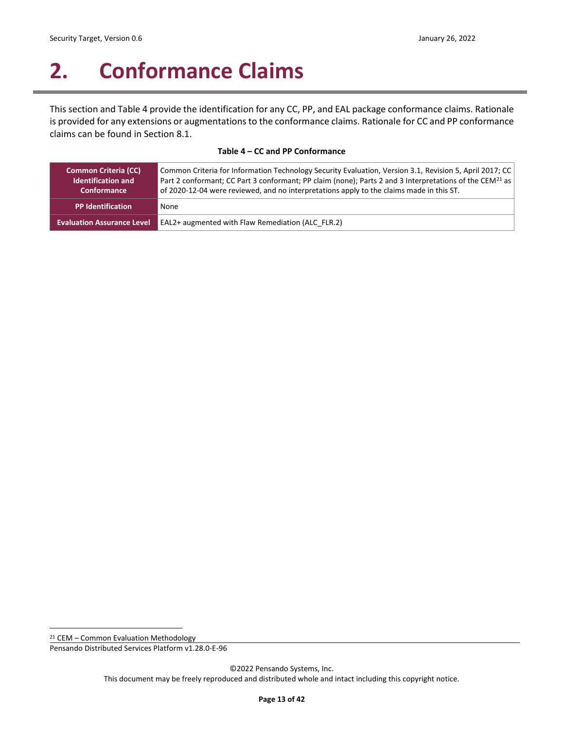# <span id="page-12-0"></span>**2. Conformance Claims**

This section and [Table 4](#page-12-1) provide the identification for any CC, PP, and EAL package conformance claims. Rationale is provided for any extensions or augmentations to the conformance claims. Rationale for CC and PP conformance claims can be found in Sectio[n 8.1.](#page-31-1)

#### **Table 4 – CC and PP Conformance**

<span id="page-12-1"></span>

| <b>Common Criteria (CC)</b><br><b>Identification and</b><br>Conformance | Common Criteria for Information Technology Security Evaluation, Version 3.1, Revision 5, April 2017; CC<br>Part 2 conformant; CC Part 3 conformant; PP claim (none); Parts 2 and 3 Interpretations of the CEM <sup>21</sup> as<br>of 2020-12-04 were reviewed, and no interpretations apply to the claims made in this ST. |
|-------------------------------------------------------------------------|----------------------------------------------------------------------------------------------------------------------------------------------------------------------------------------------------------------------------------------------------------------------------------------------------------------------------|
| <b>PP Identification</b>                                                | None                                                                                                                                                                                                                                                                                                                       |
| <b>Evaluation Assurance Level</b>                                       | <b>EAL2+ augmented with Flaw Remediation (ALC FLR.2)</b>                                                                                                                                                                                                                                                                   |

<sup>21</sup> CEM – Common Evaluation Methodology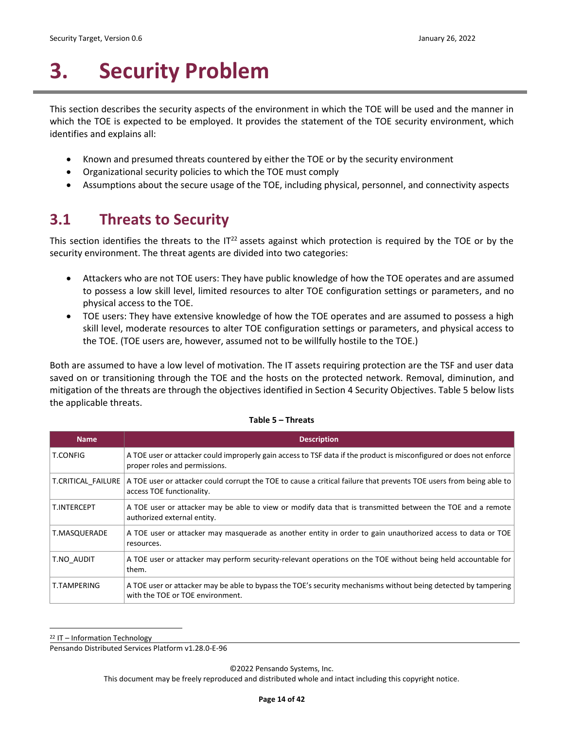# <span id="page-13-0"></span>**3. Security Problem**

This section describes the security aspects of the environment in which the TOE will be used and the manner in which the TOE is expected to be employed. It provides the statement of the TOE security environment, which identifies and explains all:

- Known and presumed threats countered by either the TOE or by the security environment
- Organizational security policies to which the TOE must comply
- Assumptions about the secure usage of the TOE, including physical, personnel, and connectivity aspects

## <span id="page-13-1"></span>**3.1 Threats to Security**

This section identifies the threats to the  $IT<sup>22</sup>$  assets against which protection is required by the TOE or by the security environment. The threat agents are divided into two categories:

- Attackers who are not TOE users: They have public knowledge of how the TOE operates and are assumed to possess a low skill level, limited resources to alter TOE configuration settings or parameters, and no physical access to the TOE.
- TOE users: They have extensive knowledge of how the TOE operates and are assumed to possess a high skill level, moderate resources to alter TOE configuration settings or parameters, and physical access to the TOE. (TOE users are, however, assumed not to be willfully hostile to the TOE.)

Both are assumed to have a low level of motivation. The IT assets requiring protection are the TSF and user data saved on or transitioning through the TOE and the hosts on the protected network. Removal, diminution, and mitigation of the threats are through the objectives identified in Sectio[n 4](#page-15-0) [Security Objectives.](#page-15-0) [Table 5](#page-13-2) below lists the applicable threats.

<span id="page-13-2"></span>

| <b>Name</b>        | <b>Description</b>                                                                                                                                   |
|--------------------|------------------------------------------------------------------------------------------------------------------------------------------------------|
| <b>T.CONFIG</b>    | A TOE user or attacker could improperly gain access to TSF data if the product is misconfigured or does not enforce<br>proper roles and permissions. |
| T.CRITICAL FAILURE | A TOE user or attacker could corrupt the TOE to cause a critical failure that prevents TOE users from being able to<br>access TOE functionality.     |
| T.INTERCEPT        | A TOE user or attacker may be able to view or modify data that is transmitted between the TOE and a remote<br>authorized external entity.            |
| T.MASQUERADE       | A TOE user or attacker may masquerade as another entity in order to gain unauthorized access to data or TOE<br>resources.                            |
| T.NO AUDIT         | A TOE user or attacker may perform security-relevant operations on the TOE without being held accountable for<br>them.                               |
| T.TAMPERING        | A TOE user or attacker may be able to bypass the TOE's security mechanisms without being detected by tampering<br>with the TOE or TOE environment.   |

#### **Table 5 – Threats**

 $22$  IT – Information Technology

Pensando Distributed Services Platform v1.28.0-E-96

©2022 Pensando Systems, Inc.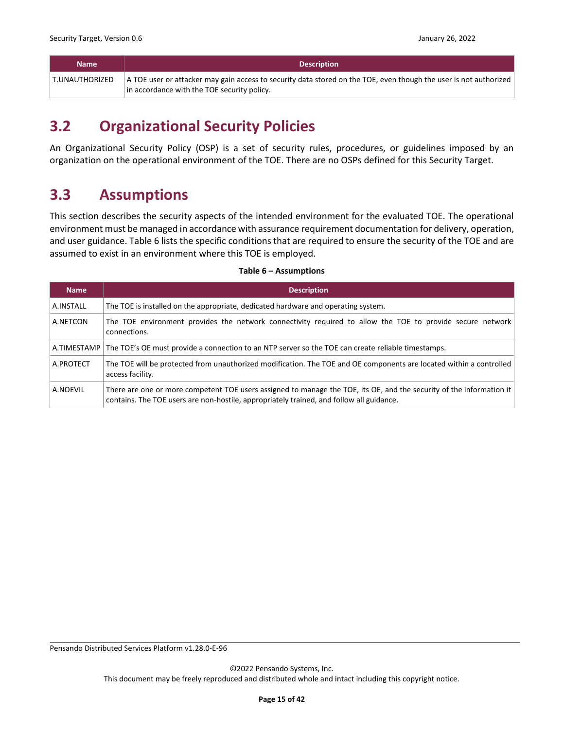| <b>Name</b>    | <b>Description</b>                                                                                                                |
|----------------|-----------------------------------------------------------------------------------------------------------------------------------|
| T.UNAUTHORIZED | $\vert$ A TOE user or attacker may gain access to security data stored on the TOE, even though the user is not authorized $\vert$ |
|                | in accordance with the TOE security policy.                                                                                       |

# <span id="page-14-0"></span>**3.2 Organizational Security Policies**

An Organizational Security Policy (OSP) is a set of security rules, procedures, or guidelines imposed by an organization on the operational environment of the TOE. There are no OSPs defined for this Security Target.

### <span id="page-14-1"></span>**3.3 Assumptions**

This section describes the security aspects of the intended environment for the evaluated TOE. The operational environment must be managed in accordance with assurance requirement documentation for delivery, operation, and user guidance[. Table 6](#page-14-2) lists the specific conditions that are required to ensure the security of the TOE and are assumed to exist in an environment where this TOE is employed.

### <span id="page-14-2"></span>**Name Description** A.INSTALL The TOE is installed on the appropriate, dedicated hardware and operating system. A.NETCON The TOE environment provides the network connectivity required to allow the TOE to provide secure network connections. A.TIMESTAMP The TOE's OE must provide a connection to an NTP server so the TOE can create reliable timestamps. A.PROTECT The TOE will be protected from unauthorized modification. The TOE and OE components are located within a controlled access facility. A.NOEVIL | There are one or more competent TOE users assigned to manage the TOE, its OE, and the security of the information it contains. The TOE users are non-hostile, appropriately trained, and follow all guidance.

#### **Table 6 – Assumptions**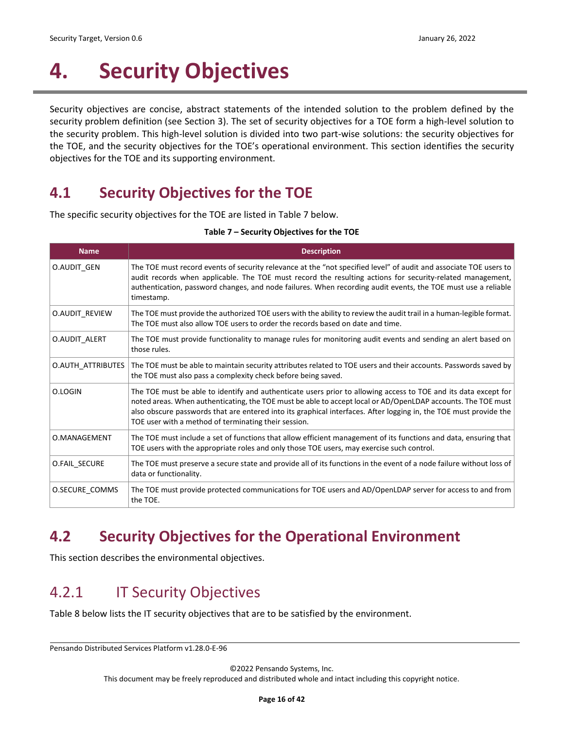# <span id="page-15-0"></span>**4. Security Objectives**

Security objectives are concise, abstract statements of the intended solution to the problem defined by the security problem definition (see Section [3\)](#page-13-0). The set of security objectives for a TOE form a high-level solution to the security problem. This high-level solution is divided into two part-wise solutions: the security objectives for the TOE, and the security objectives for the TOE's operational environment. This section identifies the security objectives for the TOE and its supporting environment.

# <span id="page-15-1"></span>**4.1 Security Objectives for the TOE**

<span id="page-15-4"></span>The specific security objectives for the TOE are listed in [Table 7](#page-15-4) below.

| <b>Name</b>       | <b>Description</b>                                                                                                                                                                                                                                                                                                                                                                                           |
|-------------------|--------------------------------------------------------------------------------------------------------------------------------------------------------------------------------------------------------------------------------------------------------------------------------------------------------------------------------------------------------------------------------------------------------------|
| O.AUDIT GEN       | The TOE must record events of security relevance at the "not specified level" of audit and associate TOE users to<br>audit records when applicable. The TOE must record the resulting actions for security-related management,<br>authentication, password changes, and node failures. When recording audit events, the TOE must use a reliable<br>timestamp.                                                |
| O.AUDIT REVIEW    | The TOE must provide the authorized TOE users with the ability to review the audit trail in a human-legible format.<br>The TOE must also allow TOE users to order the records based on date and time.                                                                                                                                                                                                        |
| O.AUDIT ALERT     | The TOE must provide functionality to manage rules for monitoring audit events and sending an alert based on<br>those rules.                                                                                                                                                                                                                                                                                 |
| O.AUTH_ATTRIBUTES | The TOE must be able to maintain security attributes related to TOE users and their accounts. Passwords saved by<br>the TOE must also pass a complexity check before being saved.                                                                                                                                                                                                                            |
| O.LOGIN           | The TOE must be able to identify and authenticate users prior to allowing access to TOE and its data except for<br>noted areas. When authenticating, the TOE must be able to accept local or AD/OpenLDAP accounts. The TOE must<br>also obscure passwords that are entered into its graphical interfaces. After logging in, the TOE must provide the<br>TOE user with a method of terminating their session. |
| O.MANAGEMENT      | The TOE must include a set of functions that allow efficient management of its functions and data, ensuring that<br>TOE users with the appropriate roles and only those TOE users, may exercise such control.                                                                                                                                                                                                |
| O.FAIL SECURE     | The TOE must preserve a secure state and provide all of its functions in the event of a node failure without loss of<br>data or functionality.                                                                                                                                                                                                                                                               |
| O.SECURE COMMS    | The TOE must provide protected communications for TOE users and AD/OpenLDAP server for access to and from<br>the TOE.                                                                                                                                                                                                                                                                                        |

#### **Table 7 – Security Objectives for the TOE**

# <span id="page-15-2"></span>**4.2 Security Objectives for the Operational Environment**

This section describes the environmental objectives.

# <span id="page-15-3"></span>4.2.1 IT Security Objectives

[Table 8](#page-16-1) below lists the IT security objectives that are to be satisfied by the environment.

Pensando Distributed Services Platform v1.28.0-E-96

©2022 Pensando Systems, Inc.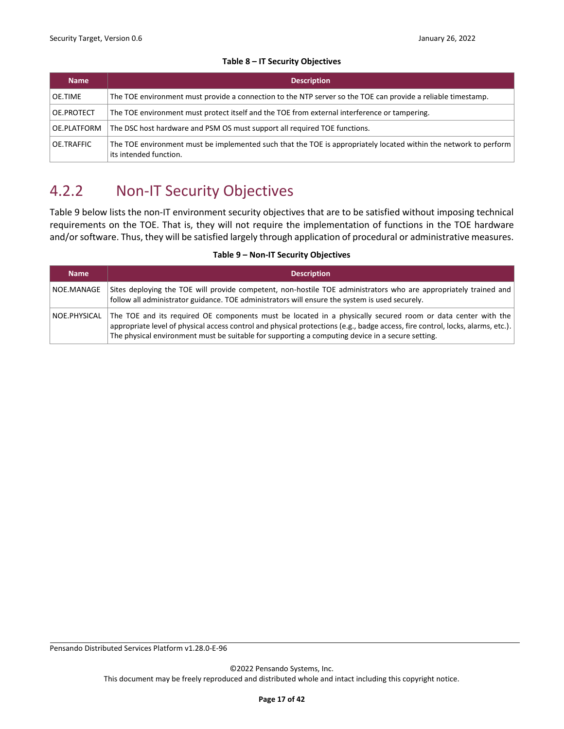#### **Table 8 – IT Security Objectives**

<span id="page-16-1"></span>

| <b>Name</b> | <b>Description</b>                                                                                                                         |  |
|-------------|--------------------------------------------------------------------------------------------------------------------------------------------|--|
| OE.TIME     | The TOE environment must provide a connection to the NTP server so the TOE can provide a reliable timestamp.                               |  |
| OE.PROTECT  | The TOE environment must protect itself and the TOE from external interference or tampering.                                               |  |
| OE.PLATFORM | The DSC host hardware and PSM OS must support all required TOE functions.                                                                  |  |
| OE.TRAFFIC  | The TOE environment must be implemented such that the TOE is appropriately located within the network to perform<br>its intended function. |  |

# <span id="page-16-0"></span>4.2.2 Non-IT Security Objectives

[Table 9](#page-16-2) below lists the non-IT environment security objectives that are to be satisfied without imposing technical requirements on the TOE. That is, they will not require the implementation of functions in the TOE hardware and/or software. Thus, they will be satisfied largely through application of procedural or administrative measures.

#### **Table 9 – Non-IT Security Objectives**

<span id="page-16-2"></span>

| <b>Name</b>  | <b>Description</b>                                                                                                                                                                                                                                                                                                                                |
|--------------|---------------------------------------------------------------------------------------------------------------------------------------------------------------------------------------------------------------------------------------------------------------------------------------------------------------------------------------------------|
| NOE.MANAGE   | Sites deploying the TOE will provide competent, non-hostile TOE administrators who are appropriately trained and<br>follow all administrator guidance. TOE administrators will ensure the system is used securely.                                                                                                                                |
| NOE.PHYSICAL | The TOE and its required OE components must be located in a physically secured room or data center with the<br>appropriate level of physical access control and physical protections (e.g., badge access, fire control, locks, alarms, etc.).<br>The physical environment must be suitable for supporting a computing device in a secure setting. |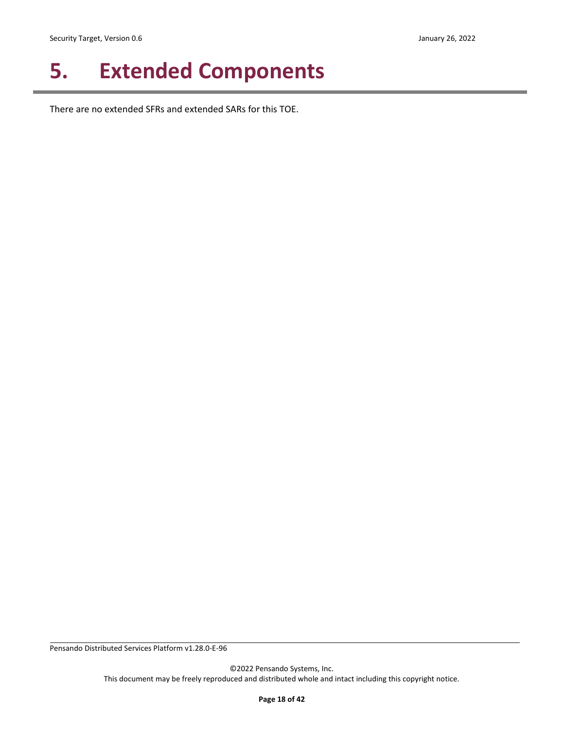# <span id="page-17-0"></span>**5. Extended Components**

There are no extended SFRs and extended SARs for this TOE.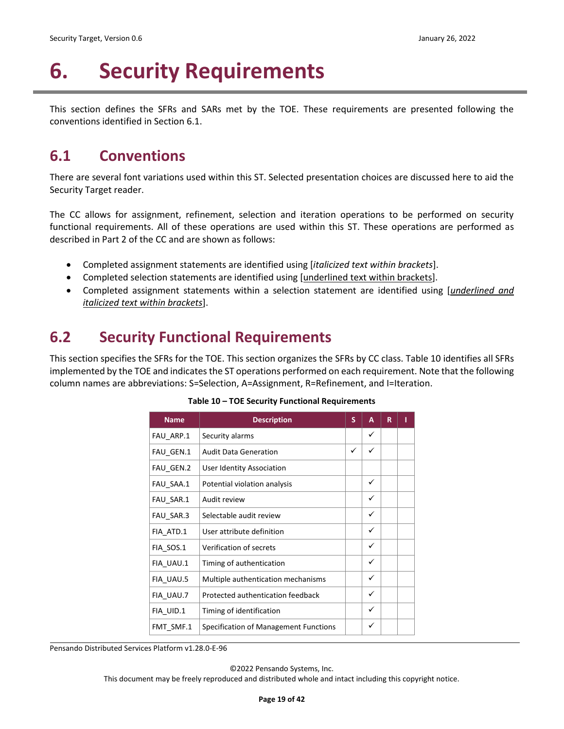# <span id="page-18-0"></span>**6. Security Requirements**

This section defines the SFRs and SARs met by the TOE. These requirements are presented following the conventions identified in Sectio[n 6.1.](#page-18-1)

## <span id="page-18-1"></span>**6.1 Conventions**

There are several font variations used within this ST. Selected presentation choices are discussed here to aid the Security Target reader.

The CC allows for assignment, refinement, selection and iteration operations to be performed on security functional requirements. All of these operations are used within this ST. These operations are performed as described in Part 2 of the CC and are shown as follows:

- Completed assignment statements are identified using [*italicized text within brackets*].
- Completed selection statements are identified using [underlined text within brackets].
- Completed assignment statements within a selection statement are identified using [*underlined and italicized text within brackets*].

## <span id="page-18-2"></span>**6.2 Security Functional Requirements**

<span id="page-18-3"></span>This section specifies the SFRs for the TOE. This section organizes the SFRs by CC class[. Table 10](#page-18-3) identifies all SFRs implemented by the TOE and indicates the ST operations performed on each requirement. Note that the following column names are abbreviations: S=Selection, A=Assignment, R=Refinement, and I=Iteration.

| <b>Name</b> | <b>Description</b>                    | S | A            | R | ı |
|-------------|---------------------------------------|---|--------------|---|---|
| FAU ARP.1   | Security alarms                       |   | ✓            |   |   |
| FAU GEN.1   | <b>Audit Data Generation</b>          | ✓ | ✓            |   |   |
| FAU GEN.2   | User Identity Association             |   |              |   |   |
| FAU_SAA.1   | Potential violation analysis          |   | $\checkmark$ |   |   |
| FAU SAR.1   | Audit review                          |   | ✓            |   |   |
| FAU SAR.3   | Selectable audit review               |   | ✓            |   |   |
| FIA_ATD.1   | User attribute definition             |   | ✓            |   |   |
| FIA SOS.1   | Verification of secrets               |   | ✓            |   |   |
| FIA_UAU.1   | Timing of authentication              |   | $\checkmark$ |   |   |
| FIA UAU.5   | Multiple authentication mechanisms    |   | ✓            |   |   |
| FIA UAU.7   | Protected authentication feedback     |   | ✓            |   |   |
| FIA UID.1   | Timing of identification              |   | ✓            |   |   |
| FMT SMF.1   | Specification of Management Functions |   | ✓            |   |   |

#### **Table 10 – TOE Security Functional Requirements**

Pensando Distributed Services Platform v1.28.0-E-96

©2022 Pensando Systems, Inc.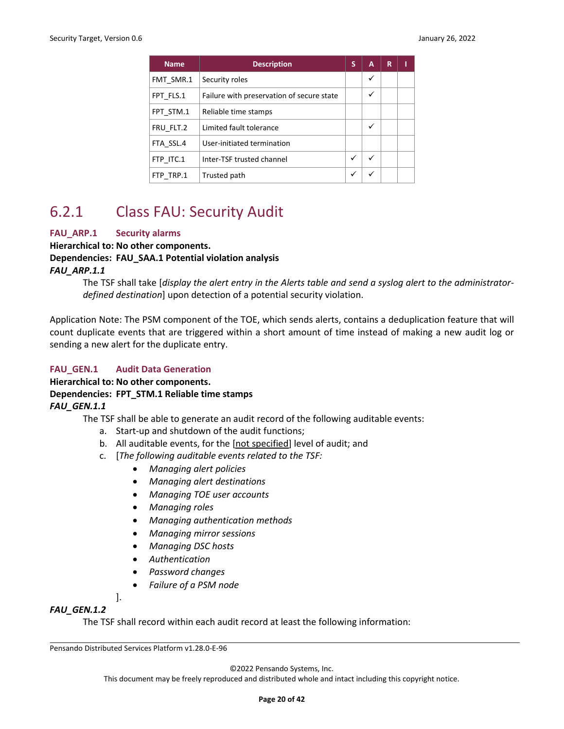| <b>Name</b> | <b>Description</b>                        | S | A | R | ı |
|-------------|-------------------------------------------|---|---|---|---|
| FMT SMR.1   | Security roles                            |   | ✓ |   |   |
| FPT FLS.1   | Failure with preservation of secure state |   | ✓ |   |   |
| FPT STM.1   | Reliable time stamps                      |   |   |   |   |
| FRU FLT.2   | Limited fault tolerance                   |   | ✓ |   |   |
| FTA SSL.4   | User-initiated termination                |   |   |   |   |
| FTP ITC.1   | Inter-TSF trusted channel                 | ✓ | ✓ |   |   |
| FTP TRP.1   | Trusted path                              | ✓ | ✓ |   |   |

## <span id="page-19-0"></span>6.2.1 Class FAU: Security Audit

#### **FAU\_ARP.1 Security alarms**

**Hierarchical to: No other components.**

#### **Dependencies: FAU\_SAA.1 Potential violation analysis**

#### *FAU\_ARP.1.1*

The TSF shall take [*display the alert entry in the Alerts table and send a syslog alert to the administratordefined destination*] upon detection of a potential security violation.

Application Note: The PSM component of the TOE, which sends alerts, contains a deduplication feature that will count duplicate events that are triggered within a short amount of time instead of making a new audit log or sending a new alert for the duplicate entry.

#### **FAU\_GEN.1 Audit Data Generation**

#### **Hierarchical to: No other components.**

#### **Dependencies: FPT\_STM.1 Reliable time stamps**

#### *FAU\_GEN.1.1*

The TSF shall be able to generate an audit record of the following auditable events:

- a. Start-up and shutdown of the audit functions;
- b. All auditable events, for the [not specified] level of audit; and
- c. [*The following auditable events related to the TSF:*
	- *Managing alert policies*
	- *Managing alert destinations*
	- *Managing TOE user accounts*
	- *Managing roles*
	- *Managing authentication methods*
	- *Managing mirror sessions*
	- *Managing DSC hosts*
	- *Authentication*
	- *Password changes*
	- *Failure of a PSM node*

].

#### *FAU\_GEN.1.2*

The TSF shall record within each audit record at least the following information:

Pensando Distributed Services Platform v1.28.0-E-96

©2022 Pensando Systems, Inc.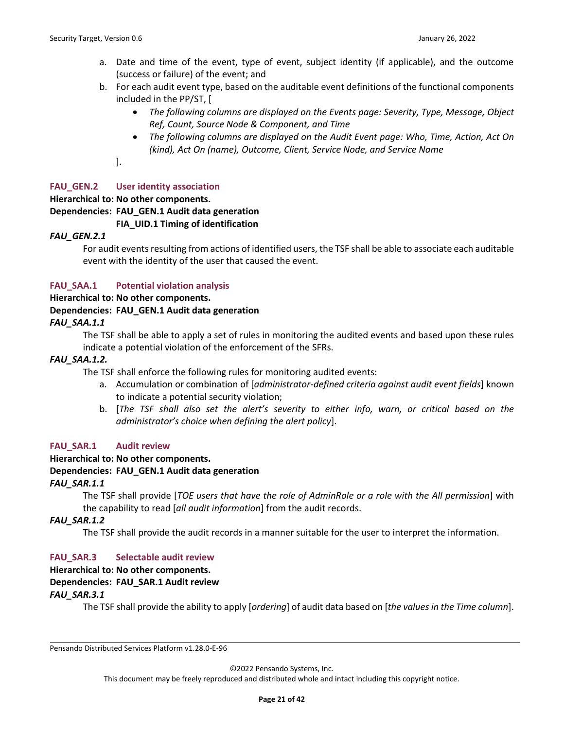- a. Date and time of the event, type of event, subject identity (if applicable), and the outcome (success or failure) of the event; and
- b. For each audit event type, based on the auditable event definitions of the functional components included in the PP/ST, [
	- *The following columns are displayed on the Events page: Severity, Type, Message, Object Ref, Count, Source Node & Component, and Time*
	- *The following columns are displayed on the Audit Event page: Who, Time, Action, Act On (kind), Act On (name), Outcome, Client, Service Node, and Service Name*

].

#### **FAU\_GEN.2 User identity association**

#### **Hierarchical to: No other components.**

**Dependencies: FAU\_GEN.1 Audit data generation**

#### **FIA\_UID.1 Timing of identification**

#### *FAU\_GEN.2.1*

For audit events resulting from actions of identified users, the TSF shall be able to associate each auditable event with the identity of the user that caused the event.

#### **FAU\_SAA.1 Potential violation analysis**

**Hierarchical to: No other components.**

#### **Dependencies: FAU\_GEN.1 Audit data generation**

#### *FAU\_SAA.1.1*

The TSF shall be able to apply a set of rules in monitoring the audited events and based upon these rules indicate a potential violation of the enforcement of the SFRs.

#### *FAU\_SAA.1.2.*

The TSF shall enforce the following rules for monitoring audited events:

- a. Accumulation or combination of [*administrator-defined criteria against audit event fields*] known to indicate a potential security violation;
- b. [*The TSF shall also set the alert's severity to either info, warn, or critical based on the administrator's choice when defining the alert policy*].

#### **FAU\_SAR.1 Audit review**

#### **Hierarchical to: No other components.**

#### **Dependencies: FAU\_GEN.1 Audit data generation**

#### *FAU\_SAR.1.1*

The TSF shall provide [*TOE users that have the role of AdminRole or a role with the All permission*] with the capability to read [*all audit information*] from the audit records.

#### *FAU\_SAR.1.2*

The TSF shall provide the audit records in a manner suitable for the user to interpret the information.

#### **FAU\_SAR.3 Selectable audit review**

#### **Hierarchical to: No other components.**

#### **Dependencies: FAU\_SAR.1 Audit review**

#### *FAU\_SAR.3.1*

The TSF shall provide the ability to apply [*ordering*] of audit data based on [*the values in the Time column*].

Pensando Distributed Services Platform v1.28.0-E-96

©2022 Pensando Systems, Inc.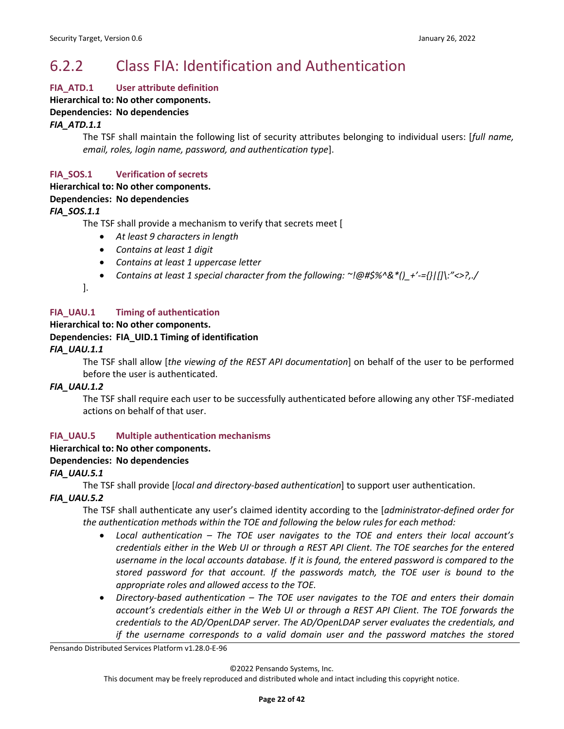# <span id="page-21-0"></span>6.2.2 Class FIA: Identification and Authentication

#### **FIA\_ATD.1 User attribute definition**

**Hierarchical to: No other components.**

#### **Dependencies: No dependencies**

*FIA\_ATD.1.1*

The TSF shall maintain the following list of security attributes belonging to individual users: [*full name, email, roles, login name, password, and authentication type*].

#### **FIA\_SOS.1 Verification of secrets**

#### **Hierarchical to: No other components.**

#### **Dependencies: No dependencies**

*FIA\_SOS.1.1*

The TSF shall provide a mechanism to verify that secrets meet [

- *At least 9 characters in length*
- *Contains at least 1 digit*
- *Contains at least 1 uppercase letter*
- *Contains at least 1 special character from the following: ~!@#\$%^&\*()\_+'-={}|[]\:"<>?,./*

].

#### **FIA\_UAU.1 Timing of authentication**

#### **Hierarchical to: No other components.**

#### **Dependencies: FIA\_UID.1 Timing of identification**

#### *FIA\_UAU.1.1*

The TSF shall allow [*the viewing of the REST API documentation*] on behalf of the user to be performed before the user is authenticated.

#### *FIA\_UAU.1.2*

The TSF shall require each user to be successfully authenticated before allowing any other TSF-mediated actions on behalf of that user.

#### **FIA\_UAU.5 Multiple authentication mechanisms**

#### **Hierarchical to: No other components.**

#### **Dependencies: No dependencies**

#### *FIA\_UAU.5.1*

The TSF shall provide [*local and directory-based authentication*] to support user authentication.

#### *FIA\_UAU.5.2*

The TSF shall authenticate any user's claimed identity according to the [*administrator-defined order for the authentication methods within the TOE and following the below rules for each method:*

- *Local authentication – The TOE user navigates to the TOE and enters their local account's credentials either in the Web UI or through a REST API Client. The TOE searches for the entered username in the local accounts database. If it is found, the entered password is compared to the stored password for that account. If the passwords match, the TOE user is bound to the appropriate roles and allowed access to the TOE.*
- *Directory-based authentication – The TOE user navigates to the TOE and enters their domain account's credentials either in the Web UI or through a REST API Client. The TOE forwards the credentials to the AD/OpenLDAP server. The AD/OpenLDAP server evaluates the credentials, and if the username corresponds to a valid domain user and the password matches the stored*

Pensando Distributed Services Platform v1.28.0-E-96

©2022 Pensando Systems, Inc.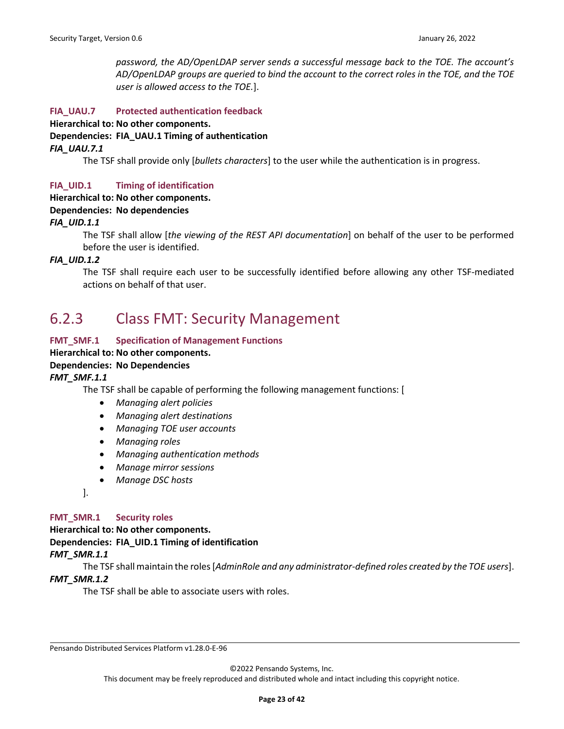*password, the AD/OpenLDAP server sends a successful message back to the TOE. The account's AD/OpenLDAP groups are queried to bind the account to the correct roles in the TOE, and the TOE user is allowed access to the TOE.*].

#### **FIA\_UAU.7 Protected authentication feedback**

**Hierarchical to: No other components.**

**Dependencies: FIA\_UAU.1 Timing of authentication**

#### *FIA\_UAU.7.1*

The TSF shall provide only [*bullets characters*] to the user while the authentication is in progress.

#### **FIA\_UID.1 Timing of identification**

#### **Hierarchical to: No other components.**

#### **Dependencies: No dependencies**

#### *FIA\_UID.1.1*

The TSF shall allow [*the viewing of the REST API documentation*] on behalf of the user to be performed before the user is identified.

#### *FIA\_UID.1.2*

The TSF shall require each user to be successfully identified before allowing any other TSF-mediated actions on behalf of that user.

### <span id="page-22-0"></span>6.2.3 Class FMT: Security Management

#### **FMT\_SMF.1 Specification of Management Functions**

#### **Hierarchical to: No other components.**

#### **Dependencies: No Dependencies**

*FMT\_SMF.1.1*

The TSF shall be capable of performing the following management functions: [

- *Managing alert policies*
- *Managing alert destinations*
- *Managing TOE user accounts*
- *Managing roles*
- *Managing authentication methods*
- *Manage mirror sessions*
- *Manage DSC hosts*
- ].

#### **FMT\_SMR.1 Security roles**

**Hierarchical to: No other components. Dependencies: FIA\_UID.1 Timing of identification** *FMT\_SMR.1.1*

The TSF shall maintain the roles [*AdminRole and any administrator-defined roles created by the TOE users*].

#### *FMT\_SMR.1.2*

The TSF shall be able to associate users with roles.

Pensando Distributed Services Platform v1.28.0-E-96

©2022 Pensando Systems, Inc.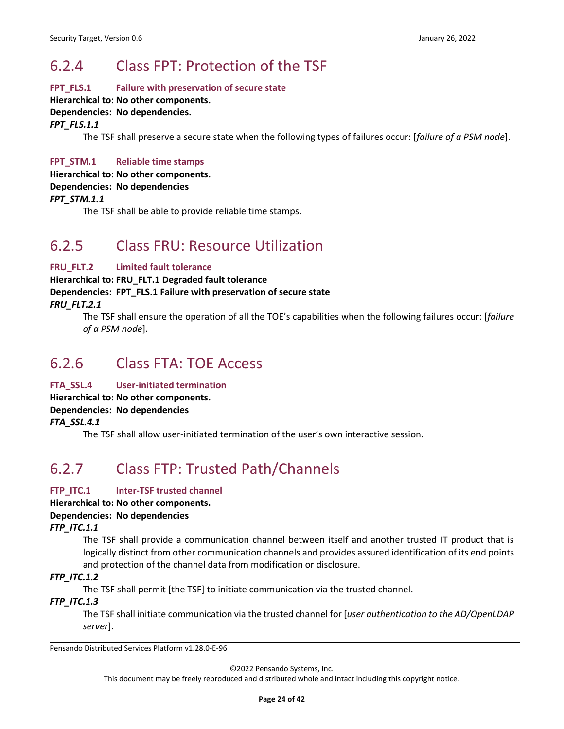## <span id="page-23-0"></span>6.2.4 Class FPT: Protection of the TSF

#### **FPT\_FLS.1 Failure with preservation of secure state**

#### **Hierarchical to: No other components.**

#### **Dependencies: No dependencies.**

*FPT\_FLS.1.1*

The TSF shall preserve a secure state when the following types of failures occur: [*failure of a PSM node*].

#### **FPT\_STM.1 Reliable time stamps**

**Hierarchical to: No other components.**

**Dependencies: No dependencies**

#### *FPT\_STM.1.1*

The TSF shall be able to provide reliable time stamps.

# <span id="page-23-1"></span>6.2.5 Class FRU: Resource Utilization

#### **FRU\_FLT.2 Limited fault tolerance**

**Hierarchical to: FRU\_FLT.1 Degraded fault tolerance Dependencies: FPT\_FLS.1 Failure with preservation of secure state** *FRU\_FLT.2.1*

The TSF shall ensure the operation of all the TOE's capabilities when the following failures occur: [*failure of a PSM node*].

### <span id="page-23-2"></span>6.2.6 Class FTA: TOE Access

#### **FTA\_SSL.4 User-initiated termination**

**Hierarchical to: No other components.**

#### **Dependencies: No dependencies**

*FTA\_SSL.4.1*

The TSF shall allow user-initiated termination of the user's own interactive session.

# <span id="page-23-3"></span>6.2.7 Class FTP: Trusted Path/Channels

#### **FTP\_ITC.1 Inter-TSF trusted channel**

#### **Hierarchical to: No other components.**

#### **Dependencies: No dependencies**

#### *FTP\_ITC.1.1*

The TSF shall provide a communication channel between itself and another trusted IT product that is logically distinct from other communication channels and provides assured identification of its end points and protection of the channel data from modification or disclosure.

#### *FTP\_ITC.1.2*

The TSF shall permit [the TSF] to initiate communication via the trusted channel.

#### *FTP\_ITC.1.3*

The TSF shall initiate communication via the trusted channel for [*user authentication to the AD/OpenLDAP server*].

Pensando Distributed Services Platform v1.28.0-E-96

©2022 Pensando Systems, Inc.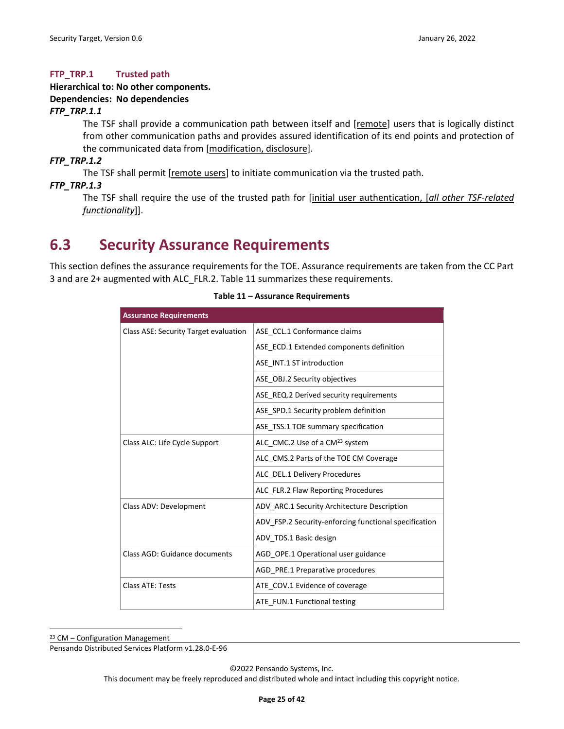#### **FTP\_TRP.1 Trusted path**

#### **Hierarchical to: No other components. Dependencies: No dependencies**

#### *FTP\_TRP.1.1*

The TSF shall provide a communication path between itself and [remote] users that is logically distinct from other communication paths and provides assured identification of its end points and protection of the communicated data from [modification, disclosure].

*FTP\_TRP.1.2*

The TSF shall permit [remote users] to initiate communication via the trusted path.

#### *FTP\_TRP.1.3*

The TSF shall require the use of the trusted path for [initial user authentication, [*all other TSF-related functionality*]].

### <span id="page-24-0"></span>**6.3 Security Assurance Requirements**

<span id="page-24-1"></span>This section defines the assurance requirements for the TOE. Assurance requirements are taken from the CC Part 3 and are 2+ augmented with ALC\_FLR.2[. Table 11](#page-24-1) summarizes these requirements.

| <b>Assurance Requirements</b>         |                                                       |
|---------------------------------------|-------------------------------------------------------|
| Class ASE: Security Target evaluation | ASE CCL.1 Conformance claims                          |
|                                       | ASE ECD.1 Extended components definition              |
|                                       | ASE INT.1 ST introduction                             |
|                                       | ASE OBJ.2 Security objectives                         |
|                                       | ASE REQ.2 Derived security requirements               |
|                                       | ASE SPD.1 Security problem definition                 |
|                                       | ASE TSS.1 TOE summary specification                   |
| Class ALC: Life Cycle Support         | ALC CMC.2 Use of a CM <sup>23</sup> system            |
|                                       | ALC CMS.2 Parts of the TOE CM Coverage                |
|                                       | ALC DEL.1 Delivery Procedures                         |
|                                       | ALC_FLR.2 Flaw Reporting Procedures                   |
| Class ADV: Development                | ADV ARC.1 Security Architecture Description           |
|                                       | ADV FSP.2 Security-enforcing functional specification |
|                                       | ADV TDS.1 Basic design                                |
| Class AGD: Guidance documents         | AGD OPE.1 Operational user guidance                   |
|                                       | AGD_PRE.1 Preparative procedures                      |
| <b>Class ATE: Tests</b>               | ATE COV.1 Evidence of coverage                        |
|                                       | ATE FUN.1 Functional testing                          |

#### **Table 11 – Assurance Requirements**

<sup>23</sup> CM – Configuration Management

Pensando Distributed Services Platform v1.28.0-E-96

©2022 Pensando Systems, Inc.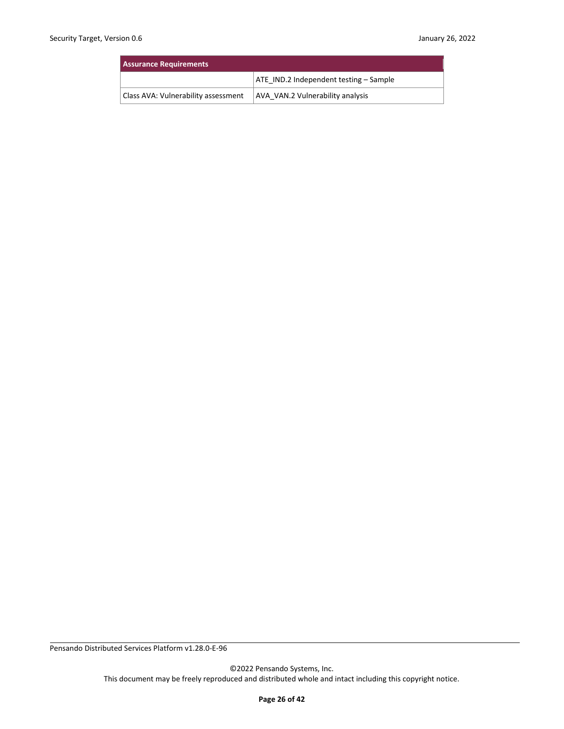| <b>Assurance Requirements</b>       |                                        |  |
|-------------------------------------|----------------------------------------|--|
|                                     | ATE IND.2 Independent testing – Sample |  |
| Class AVA: Vulnerability assessment | AVA VAN.2 Vulnerability analysis       |  |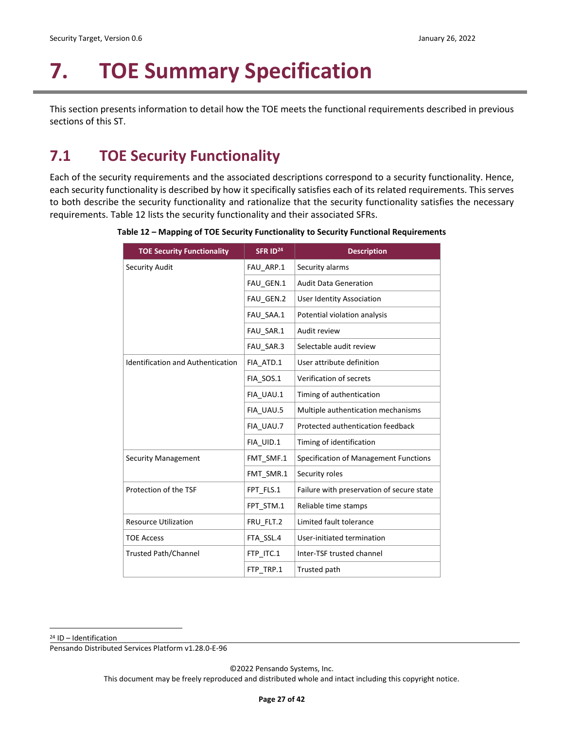# <span id="page-26-0"></span>**7. TOE Summary Specification**

This section presents information to detail how the TOE meets the functional requirements described in previous sections of this ST.

## <span id="page-26-1"></span>**7.1 TOE Security Functionality**

<span id="page-26-2"></span>Each of the security requirements and the associated descriptions correspond to a security functionality. Hence, each security functionality is described by how it specifically satisfies each of its related requirements. This serves to both describe the security functionality and rationalize that the security functionality satisfies the necessary requirements. [Table 12](#page-26-2) lists the security functionality and their associated SFRs.

| <b>TOE Security Functionality</b>        | SFR ID <sup>24</sup> | <b>Description</b>                        |
|------------------------------------------|----------------------|-------------------------------------------|
| Security Audit                           | FAU_ARP.1            | Security alarms                           |
|                                          | FAU_GEN.1            | <b>Audit Data Generation</b>              |
|                                          | FAU GEN.2            | <b>User Identity Association</b>          |
|                                          | FAU SAA.1            | Potential violation analysis              |
|                                          | FAU SAR.1            | Audit review                              |
|                                          | FAU SAR.3            | Selectable audit review                   |
| <b>Identification and Authentication</b> | FIA ATD.1            | User attribute definition                 |
|                                          | FIA SOS.1            | Verification of secrets                   |
|                                          | FIA UAU.1            | Timing of authentication                  |
|                                          | FIA UAU.5            | Multiple authentication mechanisms        |
|                                          | FIA UAU.7            | Protected authentication feedback         |
|                                          | FIA UID.1            | Timing of identification                  |
| <b>Security Management</b>               | FMT_SMF.1            | Specification of Management Functions     |
|                                          | FMT SMR.1            | Security roles                            |
| Protection of the TSF                    | FPT_FLS.1            | Failure with preservation of secure state |
|                                          | FPT_STM.1            | Reliable time stamps                      |
| <b>Resource Utilization</b>              | FRU_FLT.2            | Limited fault tolerance                   |
| <b>TOE Access</b>                        | FTA SSL.4            | User-initiated termination                |
| <b>Trusted Path/Channel</b>              | FTP_ITC.1            | Inter-TSF trusted channel                 |
|                                          | FTP TRP.1            | Trusted path                              |

**Table 12 – Mapping of TOE Security Functionality to Security Functional Requirements**

<sup>24</sup> ID – Identification

Pensando Distributed Services Platform v1.28.0-E-96

©2022 Pensando Systems, Inc.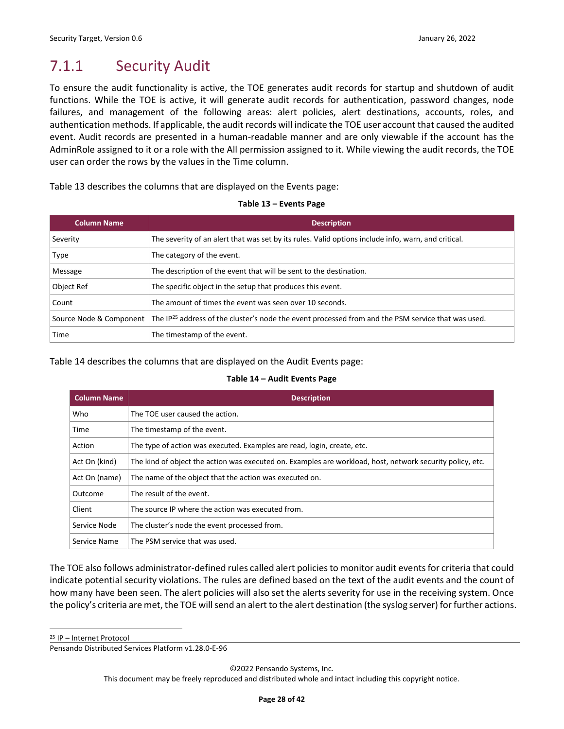# <span id="page-27-0"></span>7.1.1 Security Audit

To ensure the audit functionality is active, the TOE generates audit records for startup and shutdown of audit functions. While the TOE is active, it will generate audit records for authentication, password changes, node failures, and management of the following areas: alert policies, alert destinations, accounts, roles, and authentication methods. If applicable, the audit records will indicate the TOE user account that caused the audited event. Audit records are presented in a human-readable manner and are only viewable if the account has the AdminRole assigned to it or a role with the All permission assigned to it. While viewing the audit records, the TOE user can order the rows by the values in the Time column.

<span id="page-27-1"></span>[Table 13](#page-27-1) describes the columns that are displayed on the Events page:

| <b>Column Name</b>      | <b>Description</b>                                                                                             |
|-------------------------|----------------------------------------------------------------------------------------------------------------|
| Severity                | The severity of an alert that was set by its rules. Valid options include info, warn, and critical.            |
| <b>Type</b>             | The category of the event.                                                                                     |
| Message                 | The description of the event that will be sent to the destination.                                             |
| Object Ref              | The specific object in the setup that produces this event.                                                     |
| Count                   | The amount of times the event was seen over 10 seconds.                                                        |
| Source Node & Component | The IP <sup>25</sup> address of the cluster's node the event processed from and the PSM service that was used. |
| <b>Time</b>             | The timestamp of the event.                                                                                    |

#### **Table 13 – Events Page**

<span id="page-27-2"></span>[Table 14](#page-27-2) describes the columns that are displayed on the Audit Events page:

#### **Table 14 – Audit Events Page**

| <b>Column Name</b> | <b>Description</b>                                                                                        |  |
|--------------------|-----------------------------------------------------------------------------------------------------------|--|
| Who                | The TOE user caused the action.                                                                           |  |
| Time               | The timestamp of the event.                                                                               |  |
| Action             | The type of action was executed. Examples are read, login, create, etc.                                   |  |
| Act On (kind)      | The kind of object the action was executed on. Examples are workload, host, network security policy, etc. |  |
| Act On (name)      | The name of the object that the action was executed on.                                                   |  |
| Outcome            | The result of the event.                                                                                  |  |
| Client             | The source IP where the action was executed from.                                                         |  |
| Service Node       | The cluster's node the event processed from.                                                              |  |
| Service Name       | The PSM service that was used.                                                                            |  |

The TOE also follows administrator-defined rules called alert policies to monitor audit events for criteria that could indicate potential security violations. The rules are defined based on the text of the audit events and the count of how many have been seen. The alert policies will also set the alerts severity for use in the receiving system. Once the policy's criteria are met, the TOE will send an alert to the alert destination (the syslog server) for further actions.

<sup>25</sup> IP – Internet Protocol

This document may be freely reproduced and distributed whole and intact including this copyright notice.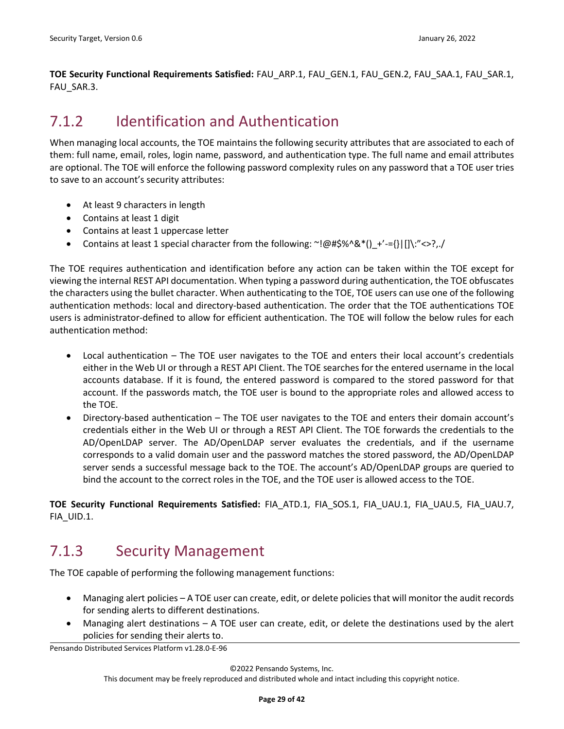**TOE Security Functional Requirements Satisfied:** FAU\_ARP.1, FAU\_GEN.1, FAU\_GEN.2, FAU\_SAA.1, FAU\_SAR.1, FAU\_SAR.3.

### <span id="page-28-0"></span>7.1.2 Identification and Authentication

When managing local accounts, the TOE maintains the following security attributes that are associated to each of them: full name, email, roles, login name, password, and authentication type. The full name and email attributes are optional. The TOE will enforce the following password complexity rules on any password that a TOE user tries to save to an account's security attributes:

- At least 9 characters in length
- Contains at least 1 digit
- Contains at least 1 uppercase letter
- Contains at least 1 special character from the following:  $\sim$ !@#\$%^&\*() +'-={}|[]\:"<>?,./

The TOE requires authentication and identification before any action can be taken within the TOE except for viewing the internal REST API documentation. When typing a password during authentication, the TOE obfuscates the characters using the bullet character. When authenticating to the TOE, TOE users can use one of the following authentication methods: local and directory-based authentication. The order that the TOE authentications TOE users is administrator-defined to allow for efficient authentication. The TOE will follow the below rules for each authentication method:

- Local authentication The TOE user navigates to the TOE and enters their local account's credentials either in the Web UI or through a REST API Client. The TOE searches for the entered username in the local accounts database. If it is found, the entered password is compared to the stored password for that account. If the passwords match, the TOE user is bound to the appropriate roles and allowed access to the TOE.
- Directory-based authentication The TOE user navigates to the TOE and enters their domain account's credentials either in the Web UI or through a REST API Client. The TOE forwards the credentials to the AD/OpenLDAP server. The AD/OpenLDAP server evaluates the credentials, and if the username corresponds to a valid domain user and the password matches the stored password, the AD/OpenLDAP server sends a successful message back to the TOE. The account's AD/OpenLDAP groups are queried to bind the account to the correct roles in the TOE, and the TOE user is allowed access to the TOE.

**TOE Security Functional Requirements Satisfied:** FIA\_ATD.1, FIA\_SOS.1, FIA\_UAU.1, FIA\_UAU.5, FIA\_UAU.7, FIA\_UID.1.

## <span id="page-28-1"></span>7.1.3 Security Management

The TOE capable of performing the following management functions:

- Managing alert policies A TOE user can create, edit, or delete policies that will monitor the audit records for sending alerts to different destinations.
- Managing alert destinations A TOE user can create, edit, or delete the destinations used by the alert policies for sending their alerts to.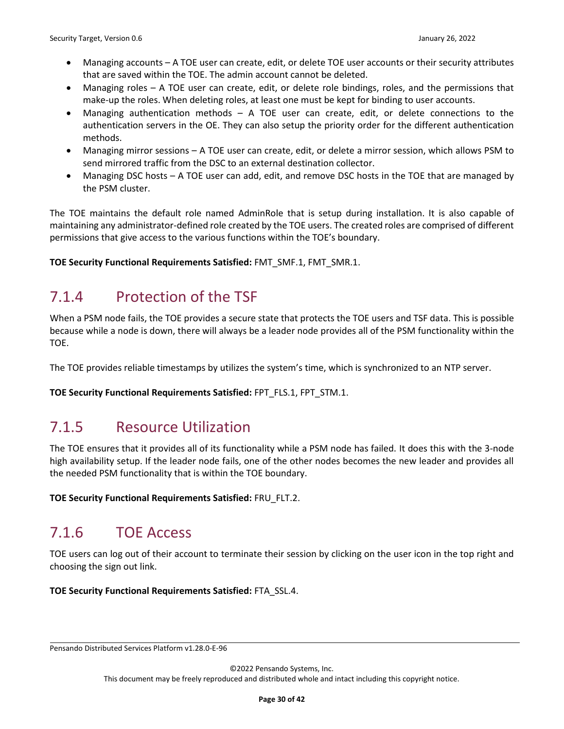- Managing accounts A TOE user can create, edit, or delete TOE user accounts or their security attributes that are saved within the TOE. The admin account cannot be deleted.
- Managing roles A TOE user can create, edit, or delete role bindings, roles, and the permissions that make-up the roles. When deleting roles, at least one must be kept for binding to user accounts.
- Managing authentication methods A TOE user can create, edit, or delete connections to the authentication servers in the OE. They can also setup the priority order for the different authentication methods.
- Managing mirror sessions A TOE user can create, edit, or delete a mirror session, which allows PSM to send mirrored traffic from the DSC to an external destination collector.
- Managing DSC hosts A TOE user can add, edit, and remove DSC hosts in the TOE that are managed by the PSM cluster.

The TOE maintains the default role named AdminRole that is setup during installation. It is also capable of maintaining any administrator-defined role created by the TOE users. The created roles are comprised of different permissions that give access to the various functions within the TOE's boundary.

**TOE Security Functional Requirements Satisfied:** FMT\_SMF.1, FMT\_SMR.1.

## <span id="page-29-0"></span>7.1.4 Protection of the TSF

When a PSM node fails, the TOE provides a secure state that protects the TOE users and TSF data. This is possible because while a node is down, there will always be a leader node provides all of the PSM functionality within the TOE.

The TOE provides reliable timestamps by utilizes the system's time, which is synchronized to an NTP server.

**TOE Security Functional Requirements Satisfied:** FPT\_FLS.1, FPT\_STM.1.

## <span id="page-29-1"></span>7.1.5 Resource Utilization

The TOE ensures that it provides all of its functionality while a PSM node has failed. It does this with the 3-node high availability setup. If the leader node fails, one of the other nodes becomes the new leader and provides all the needed PSM functionality that is within the TOE boundary.

**TOE Security Functional Requirements Satisfied:** FRU\_FLT.2.

## <span id="page-29-2"></span>7.1.6 TOE Access

TOE users can log out of their account to terminate their session by clicking on the user icon in the top right and choosing the sign out link.

**TOE Security Functional Requirements Satisfied:** FTA\_SSL.4.

Pensando Distributed Services Platform v1.28.0-E-96

©2022 Pensando Systems, Inc.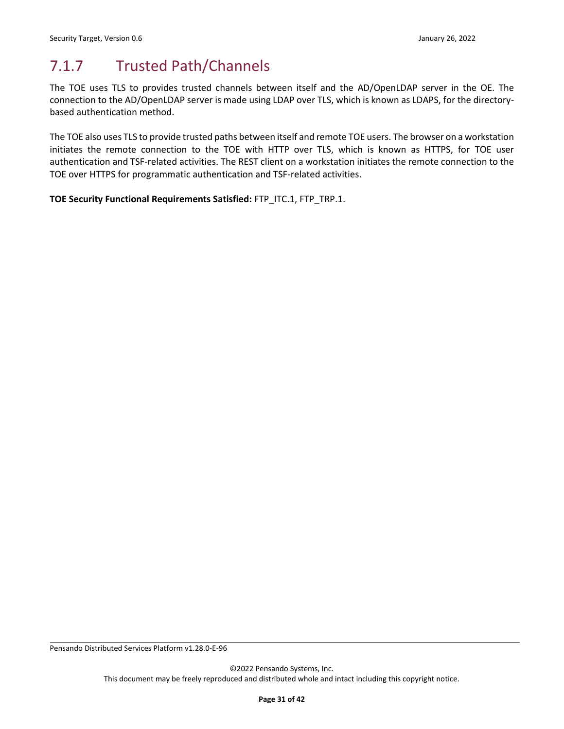## <span id="page-30-0"></span>7.1.7 Trusted Path/Channels

The TOE uses TLS to provides trusted channels between itself and the AD/OpenLDAP server in the OE. The connection to the AD/OpenLDAP server is made using LDAP over TLS, which is known as LDAPS, for the directorybased authentication method.

The TOE also uses TLS to provide trusted paths between itself and remote TOE users. The browser on a workstation initiates the remote connection to the TOE with HTTP over TLS, which is known as HTTPS, for TOE user authentication and TSF-related activities. The REST client on a workstation initiates the remote connection to the TOE over HTTPS for programmatic authentication and TSF-related activities.

**TOE Security Functional Requirements Satisfied:** FTP\_ITC.1, FTP\_TRP.1.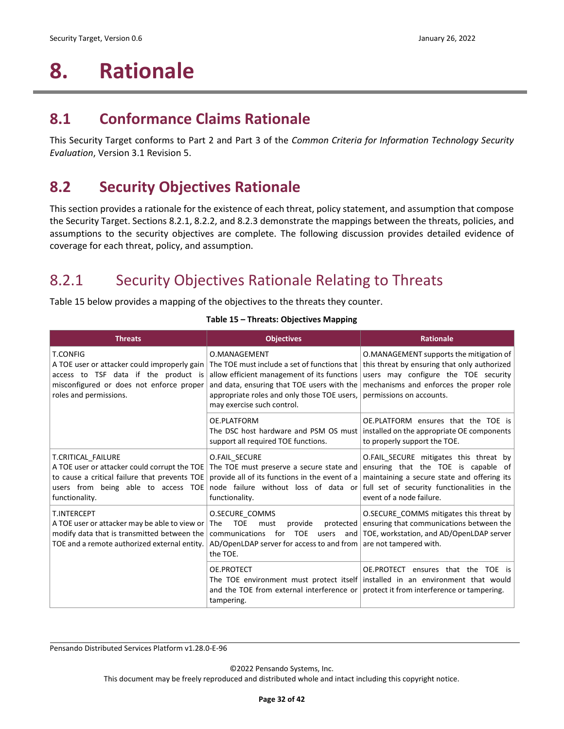# <span id="page-31-0"></span>**8. Rationale**

### <span id="page-31-1"></span>**8.1 Conformance Claims Rationale**

This Security Target conforms to Part 2 and Part 3 of the *Common Criteria for Information Technology Security Evaluation*, Version 3.1 Revision 5.

## <span id="page-31-2"></span>**8.2 Security Objectives Rationale**

This section provides a rationale for the existence of each threat, policy statement, and assumption that compose the Security Target. Section[s 8.2.1,](#page-31-3) [8.2.2,](#page-34-0) an[d 8.2.3](#page-34-1) demonstrate the mappings between the threats, policies, and assumptions to the security objectives are complete. The following discussion provides detailed evidence of coverage for each threat, policy, and assumption.

## <span id="page-31-3"></span>8.2.1 Security Objectives Rationale Relating to Threats

<span id="page-31-4"></span>[Table 15](#page-31-4) below provides a mapping of the objectives to the threats they counter.

| <b>Threats</b>                                                                                                                                                                | <b>Objectives</b>                                                                                                                                                                                                                      | <b>Rationale</b>                                                                                                                                                                                                                             |
|-------------------------------------------------------------------------------------------------------------------------------------------------------------------------------|----------------------------------------------------------------------------------------------------------------------------------------------------------------------------------------------------------------------------------------|----------------------------------------------------------------------------------------------------------------------------------------------------------------------------------------------------------------------------------------------|
| <b>T.CONFIG</b><br>A TOE user or attacker could improperly gain<br>access to TSF data if the product is<br>misconfigured or does not enforce proper<br>roles and permissions. | O.MANAGEMENT<br>The TOE must include a set of functions that<br>allow efficient management of its functions<br>and data, ensuring that TOE users with the<br>appropriate roles and only those TOE users,<br>may exercise such control. | O.MANAGEMENT supports the mitigation of<br>this threat by ensuring that only authorized<br>users may configure the TOE security<br>mechanisms and enforces the proper role<br>permissions on accounts.                                       |
|                                                                                                                                                                               | OE.PLATFORM<br>support all required TOE functions.                                                                                                                                                                                     | OE.PLATFORM ensures that the TOE is<br>The DSC host hardware and PSM OS must   installed on the appropriate OE components<br>to properly support the TOE.                                                                                    |
| T.CRITICAL FAILURE<br>A TOE user or attacker could corrupt the TOE<br>to cause a critical failure that prevents TOE<br>users from being able to access TOE<br>functionality.  | O.FAIL SECURE<br>The TOE must preserve a secure state and<br>provide all of its functions in the event of a<br>functionality.                                                                                                          | O.FAIL_SECURE mitigates this threat by<br>ensuring that the TOE is capable of<br>maintaining a secure state and offering its<br>node failure without loss of data or full set of security functionalities in the<br>event of a node failure. |
| T.INTERCEPT<br>A TOE user or attacker may be able to view or<br>modify data that is transmitted between the<br>TOE and a remote authorized external entity.                   | O.SECURE COMMS<br><b>TOE</b><br>protected<br>The<br>provide<br>must<br>communications<br><b>TOE</b><br>for<br>users<br>and $ $<br>AD/OpenLDAP server for access to and from $ $ are not tampered with.<br>the TOE.                     | O.SECURE_COMMS mitigates this threat by<br>ensuring that communications between the<br>TOE, workstation, and AD/OpenLDAP server                                                                                                              |
|                                                                                                                                                                               | OE.PROTECT<br>and the TOE from external interference or<br>tampering.                                                                                                                                                                  | OE.PROTECT<br>ensures that the TOE is<br>The TOE environment must protect itself installed in an environment that would<br>protect it from interference or tampering.                                                                        |

#### **Table 15 – Threats: Objectives Mapping**

Pensando Distributed Services Platform v1.28.0-E-96

©2022 Pensando Systems, Inc.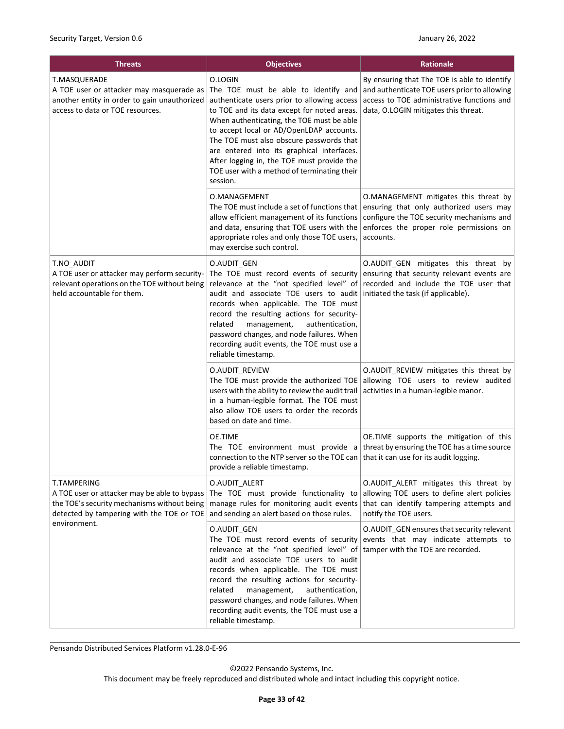| <b>Threats</b>                                                                                                                                                 | <b>Objectives</b>                                                                                                                                                                                                                                                                                                                                                                                                                         | <b>Rationale</b>                                                                                                                                                                      |  |
|----------------------------------------------------------------------------------------------------------------------------------------------------------------|-------------------------------------------------------------------------------------------------------------------------------------------------------------------------------------------------------------------------------------------------------------------------------------------------------------------------------------------------------------------------------------------------------------------------------------------|---------------------------------------------------------------------------------------------------------------------------------------------------------------------------------------|--|
| <b>T.MASQUERADE</b><br>A TOE user or attacker may masquerade as<br>another entity in order to gain unauthorized<br>access to data or TOE resources.            | O.LOGIN<br>The TOE must be able to identify and<br>authenticate users prior to allowing access<br>to TOE and its data except for noted areas.<br>When authenticating, the TOE must be able<br>to accept local or AD/OpenLDAP accounts.<br>The TOE must also obscure passwords that<br>are entered into its graphical interfaces.<br>After logging in, the TOE must provide the<br>TOE user with a method of terminating their<br>session. | By ensuring that The TOE is able to identify<br>and authenticate TOE users prior to allowing<br>access to TOE administrative functions and<br>data, O.LOGIN mitigates this threat.    |  |
|                                                                                                                                                                | O.MANAGEMENT<br>The TOE must include a set of functions that<br>allow efficient management of its functions<br>and data, ensuring that TOE users with the<br>appropriate roles and only those TOE users,<br>may exercise such control.                                                                                                                                                                                                    | O.MANAGEMENT mitigates this threat by<br>ensuring that only authorized users may<br>configure the TOE security mechanisms and<br>enforces the proper role permissions on<br>accounts. |  |
| T.NO AUDIT<br>A TOE user or attacker may perform security-<br>relevant operations on the TOE without being<br>held accountable for them.                       | O.AUDIT_GEN<br>The TOE must record events of security<br>audit and associate TOE users to audit initiated the task (if applicable).<br>records when applicable. The TOE must<br>record the resulting actions for security-<br>related<br>management,<br>authentication,<br>password changes, and node failures. When<br>recording audit events, the TOE must use a<br>reliable timestamp.                                                 | O.AUDIT GEN mitigates this threat by<br>ensuring that security relevant events are<br>relevance at the "not specified level" of recorded and include the TOE user that                |  |
|                                                                                                                                                                | <b>O.AUDIT REVIEW</b><br>users with the ability to review the audit trail<br>in a human-legible format. The TOE must<br>also allow TOE users to order the records<br>based on date and time.                                                                                                                                                                                                                                              | O.AUDIT_REVIEW mitigates this threat by<br>The TOE must provide the authorized TOE allowing TOE users to review audited<br>activities in a human-legible manor.                       |  |
|                                                                                                                                                                | OE.TIME<br>connection to the NTP server so the TOE can   that it can use for its audit logging.<br>provide a reliable timestamp.                                                                                                                                                                                                                                                                                                          | OE.TIME supports the mitigation of this<br>The TOE environment must provide a threat by ensuring the TOE has a time source                                                            |  |
| <b>T.TAMPERING</b><br>A TOE user or attacker may be able to bypass<br>the TOE's security mechanisms without being<br>detected by tampering with the TOE or TOE | O.AUDIT ALERT<br>The TOE must provide functionality to<br>manage rules for monitoring audit events<br>and sending an alert based on those rules.                                                                                                                                                                                                                                                                                          | O.AUDIT_ALERT mitigates this threat by<br>allowing TOE users to define alert policies<br>that can identify tampering attempts and<br>notify the TOE users.                            |  |
| environment.                                                                                                                                                   | O.AUDIT_GEN<br>The TOE must record events of security<br>relevance at the "not specified level" of<br>audit and associate TOE users to audit<br>records when applicable. The TOE must<br>record the resulting actions for security-<br>related<br>management,<br>authentication,<br>password changes, and node failures. When<br>recording audit events, the TOE must use a<br>reliable timestamp.                                        | O.AUDIT GEN ensures that security relevant<br>events that may indicate attempts to<br>tamper with the TOE are recorded.                                                               |  |

Pensando Distributed Services Platform v1.28.0-E-96

©2022 Pensando Systems, Inc.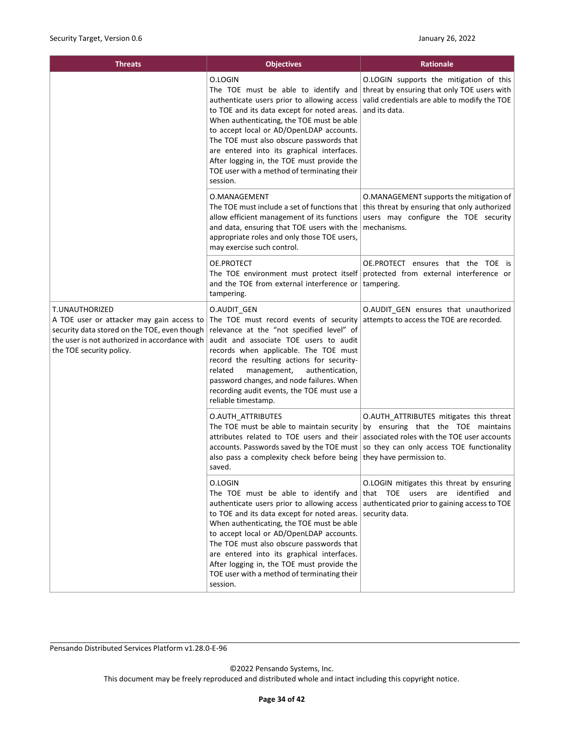| <b>Threats</b>                                                                                                                                                                           | <b>Objectives</b>                                                                                                                                                                                                                                                                                                                                                                                                                         | <b>Rationale</b>                                                                                                                                                                                      |  |
|------------------------------------------------------------------------------------------------------------------------------------------------------------------------------------------|-------------------------------------------------------------------------------------------------------------------------------------------------------------------------------------------------------------------------------------------------------------------------------------------------------------------------------------------------------------------------------------------------------------------------------------------|-------------------------------------------------------------------------------------------------------------------------------------------------------------------------------------------------------|--|
|                                                                                                                                                                                          | O.LOGIN<br>The TOE must be able to identify and<br>authenticate users prior to allowing access<br>to TOE and its data except for noted areas.<br>When authenticating, the TOE must be able<br>to accept local or AD/OpenLDAP accounts.<br>The TOE must also obscure passwords that<br>are entered into its graphical interfaces.<br>After logging in, the TOE must provide the<br>TOE user with a method of terminating their<br>session. | O.LOGIN supports the mitigation of this<br>threat by ensuring that only TOE users with<br>valid credentials are able to modify the TOE<br>and its data.                                               |  |
|                                                                                                                                                                                          | O.MANAGEMENT<br>allow efficient management of its functions<br>and data, ensuring that TOE users with the<br>appropriate roles and only those TOE users,<br>may exercise such control.                                                                                                                                                                                                                                                    | O.MANAGEMENT supports the mitigation of<br>The TOE must include a set of functions that $\vert$ this threat by ensuring that only authorized<br>users may configure the TOE security<br>mechanisms.   |  |
|                                                                                                                                                                                          | OE.PROTECT<br>The TOE environment must protect itself<br>and the TOE from external interference or<br>tampering.                                                                                                                                                                                                                                                                                                                          | OE.PROTECT ensures that the TOE is<br>protected from external interference or<br>tampering.                                                                                                           |  |
| T.UNAUTHORIZED<br>A TOE user or attacker may gain access to<br>security data stored on the TOE, even though<br>the user is not authorized in accordance with<br>the TOE security policy. | O.AUDIT GEN<br>The TOE must record events of security<br>relevance at the "not specified level" of<br>audit and associate TOE users to audit<br>records when applicable. The TOE must<br>record the resulting actions for security-<br>management,<br>authentication,<br>related<br>password changes, and node failures. When<br>recording audit events, the TOE must use a<br>reliable timestamp.                                        | O.AUDIT GEN ensures that unauthorized<br>attempts to access the TOE are recorded.                                                                                                                     |  |
|                                                                                                                                                                                          | O.AUTH_ATTRIBUTES<br>The TOE must be able to maintain security<br>attributes related to TOE users and their<br>accounts. Passwords saved by the TOE must<br>also pass a complexity check before being<br>saved.                                                                                                                                                                                                                           | O.AUTH ATTRIBUTES mitigates this threat<br>by ensuring that the TOE maintains<br>associated roles with the TOE user accounts<br>so they can only access TOE functionality<br>they have permission to. |  |
|                                                                                                                                                                                          | O.LOGIN<br>The TOE must be able to identify and<br>authenticate users prior to allowing access<br>to TOE and its data except for noted areas.<br>When authenticating, the TOE must be able<br>to accept local or AD/OpenLDAP accounts.<br>The TOE must also obscure passwords that<br>are entered into its graphical interfaces.<br>After logging in, the TOE must provide the<br>TOE user with a method of terminating their<br>session. | O.LOGIN mitigates this threat by ensuring<br>that TOE users are identified and<br>authenticated prior to gaining access to TOE<br>security data.                                                      |  |

Pensando Distributed Services Platform v1.28.0-E-96

©2022 Pensando Systems, Inc.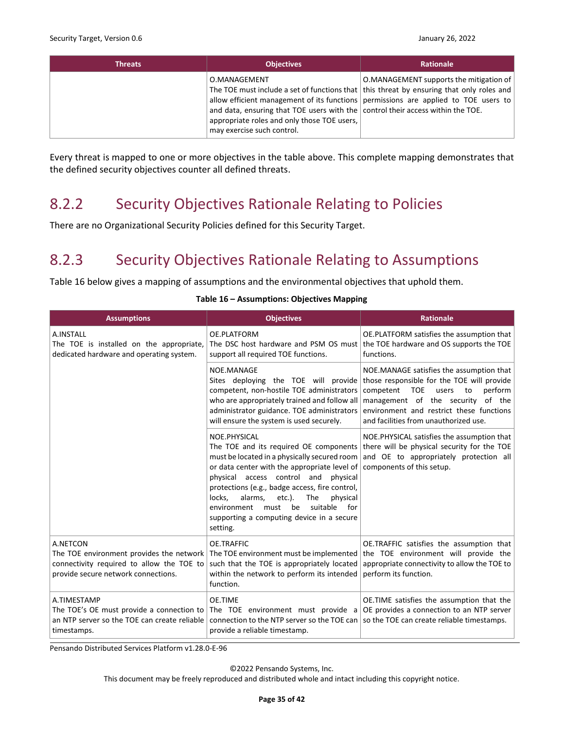| <b>Threats</b> | <b>Objectives</b>                                                                                                                                                            | <b>Rationale</b>                                                                                                                                                                                                               |
|----------------|------------------------------------------------------------------------------------------------------------------------------------------------------------------------------|--------------------------------------------------------------------------------------------------------------------------------------------------------------------------------------------------------------------------------|
|                | O.MANAGEMENT<br>and data, ensuring that TOE users with the control their access within the TOE.<br>appropriate roles and only those TOE users,<br>may exercise such control. | O.MANAGEMENT supports the mitigation of  <br>The TOE must include a set of functions that   this threat by ensuring that only roles and<br>allow efficient management of its functions permissions are applied to TOE users to |

Every threat is mapped to one or more objectives in the table above. This complete mapping demonstrates that the defined security objectives counter all defined threats.

### <span id="page-34-0"></span>8.2.2 Security Objectives Rationale Relating to Policies

There are no Organizational Security Policies defined for this Security Target.

## <span id="page-34-1"></span>8.2.3 Security Objectives Rationale Relating to Assumptions

<span id="page-34-2"></span>[Table 16](#page-34-2) below gives a mapping of assumptions and the environmental objectives that uphold them.

| <b>Assumptions</b>                                                                                                                       | <b>Objectives</b>                                                                                                                                                                                                                                                                                                                                                                                              | <b>Rationale</b>                                                                                                                                                                                                                                               |
|------------------------------------------------------------------------------------------------------------------------------------------|----------------------------------------------------------------------------------------------------------------------------------------------------------------------------------------------------------------------------------------------------------------------------------------------------------------------------------------------------------------------------------------------------------------|----------------------------------------------------------------------------------------------------------------------------------------------------------------------------------------------------------------------------------------------------------------|
| A.INSTALL<br>The TOE is installed on the appropriate,<br>dedicated hardware and operating system.                                        | OE.PLATFORM<br>The DSC host hardware and PSM OS must<br>support all required TOE functions.                                                                                                                                                                                                                                                                                                                    | OE.PLATFORM satisfies the assumption that<br>the TOE hardware and OS supports the TOE<br>functions.                                                                                                                                                            |
|                                                                                                                                          | NOE.MANAGE<br>Sites deploying the TOE will provide<br>competent, non-hostile TOE administrators<br>who are appropriately trained and follow all<br>administrator guidance. TOE administrators<br>will ensure the system is used securely.                                                                                                                                                                      | NOE.MANAGE satisfies the assumption that<br>those responsible for the TOE will provide<br>competent TOE<br>users<br>perform<br>to<br>management of the security<br>of the<br>environment and restrict these functions<br>and facilities from unauthorized use. |
|                                                                                                                                          | NOE.PHYSICAL<br>The TOE and its required OE components<br>must be located in a physically secured room<br>or data center with the appropriate level of<br>physical access control and<br>physical<br>protections (e.g., badge access, fire control,<br>locks,<br>alarms,<br>etc.).<br>The<br>physical<br>be<br>suitable<br>for<br>must<br>environment<br>supporting a computing device in a secure<br>setting. | NOE.PHYSICAL satisfies the assumption that<br>there will be physical security for the TOE<br>and OE to appropriately protection all<br>components of this setup.                                                                                               |
| A.NETCON<br>The TOE environment provides the network<br>connectivity required to allow the TOE to<br>provide secure network connections. | OE.TRAFFIC<br>such that the TOE is appropriately located<br>within the network to perform its intended<br>function.                                                                                                                                                                                                                                                                                            | OE.TRAFFIC satisfies the assumption that<br>The TOE environment must be implemented the TOE environment will provide the<br>appropriate connectivity to allow the TOE to<br>perform its function.                                                              |
| A.TIMESTAMP<br>The TOE's OE must provide a connection to<br>an NTP server so the TOE can create reliable<br>timestamps.                  | <b>OE.TIME</b><br>connection to the NTP server so the TOE can $ $ so the TOE can create reliable timestamps.<br>provide a reliable timestamp.                                                                                                                                                                                                                                                                  | OE.TIME satisfies the assumption that the<br>The TOE environment must provide a $OE$ provides a connection to an NTP server                                                                                                                                    |

#### **Table 16 – Assumptions: Objectives Mapping**

Pensando Distributed Services Platform v1.28.0-E-96

©2022 Pensando Systems, Inc.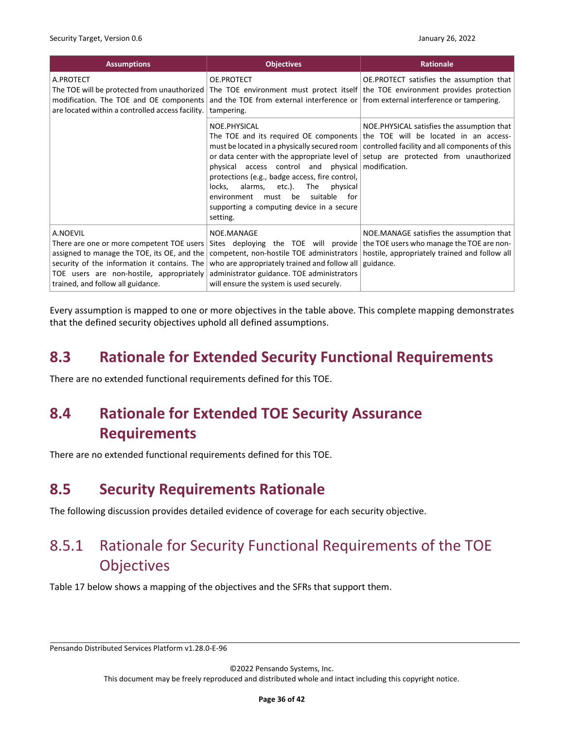| <b>Assumptions</b>                                                                                                                                                                                                                      | <b>Objectives</b>                                                                                                                                                                                                                                                | <b>Rationale</b>                                                                                                                                                                                                                                                                                                   |
|-----------------------------------------------------------------------------------------------------------------------------------------------------------------------------------------------------------------------------------------|------------------------------------------------------------------------------------------------------------------------------------------------------------------------------------------------------------------------------------------------------------------|--------------------------------------------------------------------------------------------------------------------------------------------------------------------------------------------------------------------------------------------------------------------------------------------------------------------|
| A.PROTECT<br>The TOE will be protected from unauthorized The TOE environment must protect itself the TOE environment provides protection<br>modification. The TOE and OE components<br>are located within a controlled access facility. | OE.PROTECT<br>and the TOE from external interference or $\vert$ from external interference or tampering.<br>tampering.                                                                                                                                           | OE.PROTECT satisfies the assumption that                                                                                                                                                                                                                                                                           |
|                                                                                                                                                                                                                                         | NOE.PHYSICAL<br>physical access control and physical modification.<br>protections (e.g., badge access, fire control,<br>locks, alarms, etc.). The<br>physical<br>suitable for<br>must be<br>environment<br>supporting a computing device in a secure<br>setting. | NOE. PHYSICAL satisfies the assumption that<br>The TOE and its required OE components the TOE will be located in an access-<br>must be located in a physically secured room   controlled facility and all components of this<br>or data center with the appropriate level of setup are protected from unauthorized |
| A.NOEVIL<br>There are one or more competent TOE users<br>assigned to manage the TOE, its OE, and the<br>security of the information it contains. The<br>TOE users are non-hostile, appropriately<br>trained, and follow all guidance.   | NOE.MANAGE<br>who are appropriately trained and follow all $ $ guidance.<br>administrator guidance. TOE administrators<br>will ensure the system is used securely.                                                                                               | NOE.MANAGE satisfies the assumption that<br>Sites deploying the TOE will provide the TOE users who manage the TOE are non-<br>competent, non-hostile TOE administrators   hostile, appropriately trained and follow all                                                                                            |

Every assumption is mapped to one or more objectives in the table above. This complete mapping demonstrates that the defined security objectives uphold all defined assumptions.

### <span id="page-35-0"></span>**8.3 Rationale for Extended Security Functional Requirements**

There are no extended functional requirements defined for this TOE.

# <span id="page-35-1"></span>**8.4 Rationale for Extended TOE Security Assurance Requirements**

There are no extended functional requirements defined for this TOE.

## <span id="page-35-2"></span>**8.5 Security Requirements Rationale**

The following discussion provides detailed evidence of coverage for each security objective.

# <span id="page-35-3"></span>8.5.1 Rationale for Security Functional Requirements of the TOE **Objectives**

[Table 17](#page-36-0) below shows a mapping of the objectives and the SFRs that support them.

Pensando Distributed Services Platform v1.28.0-E-96

©2022 Pensando Systems, Inc.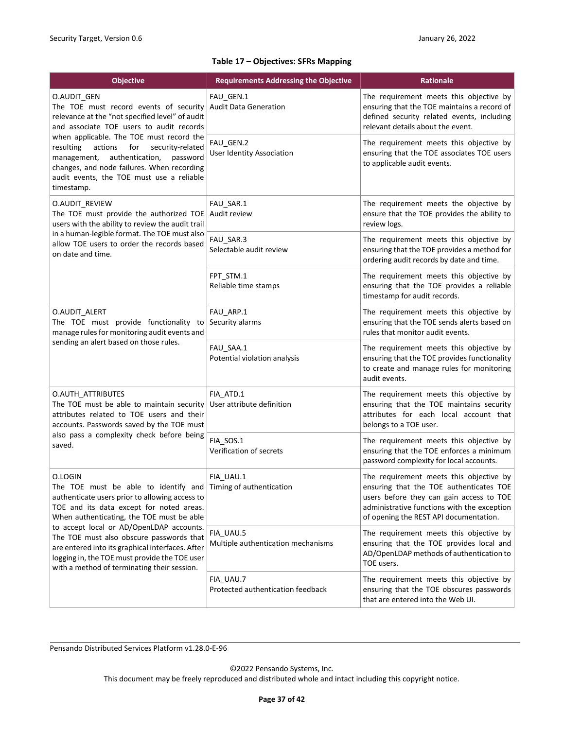#### **Table 17 – Objectives: SFRs Mapping**

<span id="page-36-0"></span>

| <b>Objective</b>                                                                                                                                                                                                                                                                                                                                                                                                                                                | <b>Requirements Addressing the Objective</b>    | Rationale                                                                                                                                                                                                               |  |
|-----------------------------------------------------------------------------------------------------------------------------------------------------------------------------------------------------------------------------------------------------------------------------------------------------------------------------------------------------------------------------------------------------------------------------------------------------------------|-------------------------------------------------|-------------------------------------------------------------------------------------------------------------------------------------------------------------------------------------------------------------------------|--|
| O.AUDIT_GEN<br>The TOE must record events of security<br>relevance at the "not specified level" of audit<br>and associate TOE users to audit records                                                                                                                                                                                                                                                                                                            | FAU GEN.1<br><b>Audit Data Generation</b>       | The requirement meets this objective by<br>ensuring that the TOE maintains a record of<br>defined security related events, including<br>relevant details about the event.                                               |  |
| when applicable. The TOE must record the<br>for<br>resulting<br>actions<br>security-related<br>authentication,<br>password<br>management,<br>changes, and node failures. When recording<br>audit events, the TOE must use a reliable<br>timestamp.                                                                                                                                                                                                              | FAU GEN.2<br><b>User Identity Association</b>   | The requirement meets this objective by<br>ensuring that the TOE associates TOE users<br>to applicable audit events.                                                                                                    |  |
| O.AUDIT_REVIEW<br>The TOE must provide the authorized TOE<br>users with the ability to review the audit trail                                                                                                                                                                                                                                                                                                                                                   | FAU_SAR.1<br>Audit review                       | The requirement meets the objective by<br>ensure that the TOE provides the ability to<br>review logs.                                                                                                                   |  |
| in a human-legible format. The TOE must also<br>allow TOE users to order the records based<br>on date and time.                                                                                                                                                                                                                                                                                                                                                 | FAU_SAR.3<br>Selectable audit review            | The requirement meets this objective by<br>ensuring that the TOE provides a method for<br>ordering audit records by date and time.                                                                                      |  |
|                                                                                                                                                                                                                                                                                                                                                                                                                                                                 | FPT STM.1<br>Reliable time stamps               | The requirement meets this objective by<br>ensuring that the TOE provides a reliable<br>timestamp for audit records.                                                                                                    |  |
| O.AUDIT ALERT<br>The TOE must provide functionality to<br>manage rules for monitoring audit events and                                                                                                                                                                                                                                                                                                                                                          | FAU ARP.1<br>Security alarms                    | The requirement meets this objective by<br>ensuring that the TOE sends alerts based on<br>rules that monitor audit events.                                                                                              |  |
| sending an alert based on those rules.                                                                                                                                                                                                                                                                                                                                                                                                                          | FAU SAA.1<br>Potential violation analysis       | The requirement meets this objective by<br>ensuring that the TOE provides functionality<br>to create and manage rules for monitoring<br>audit events.                                                                   |  |
| O.AUTH ATTRIBUTES<br>The TOE must be able to maintain security<br>attributes related to TOE users and their<br>accounts. Passwords saved by the TOE must<br>also pass a complexity check before being<br>saved.                                                                                                                                                                                                                                                 | FIA ATD.1<br>User attribute definition          | The requirement meets this objective by<br>ensuring that the TOE maintains security<br>attributes for each local account that<br>belongs to a TOE user.                                                                 |  |
|                                                                                                                                                                                                                                                                                                                                                                                                                                                                 | FIA_SOS.1<br>Verification of secrets            | The requirement meets this objective by<br>ensuring that the TOE enforces a minimum<br>password complexity for local accounts.                                                                                          |  |
| O.LOGIN<br>The TOE must be able to identify and Timing of authentication<br>authenticate users prior to allowing access to<br>TOE and its data except for noted areas.<br>When authenticating, the TOE must be able<br>to accept local or AD/OpenLDAP accounts.<br>The TOE must also obscure passwords that<br>are entered into its graphical interfaces. After<br>logging in, the TOE must provide the TOE user<br>with a method of terminating their session. | FIA UAU.1                                       | The requirement meets this objective by<br>ensuring that the TOE authenticates TOE<br>users before they can gain access to TOE<br>administrative functions with the exception<br>of opening the REST API documentation. |  |
|                                                                                                                                                                                                                                                                                                                                                                                                                                                                 | FIA_UAU.5<br>Multiple authentication mechanisms | The requirement meets this objective by<br>ensuring that the TOE provides local and<br>AD/OpenLDAP methods of authentication to<br>TOE users.                                                                           |  |
|                                                                                                                                                                                                                                                                                                                                                                                                                                                                 | FIA_UAU.7<br>Protected authentication feedback  | The requirement meets this objective by<br>ensuring that the TOE obscures passwords<br>that are entered into the Web UI.                                                                                                |  |

Pensando Distributed Services Platform v1.28.0-E-96

©2022 Pensando Systems, Inc.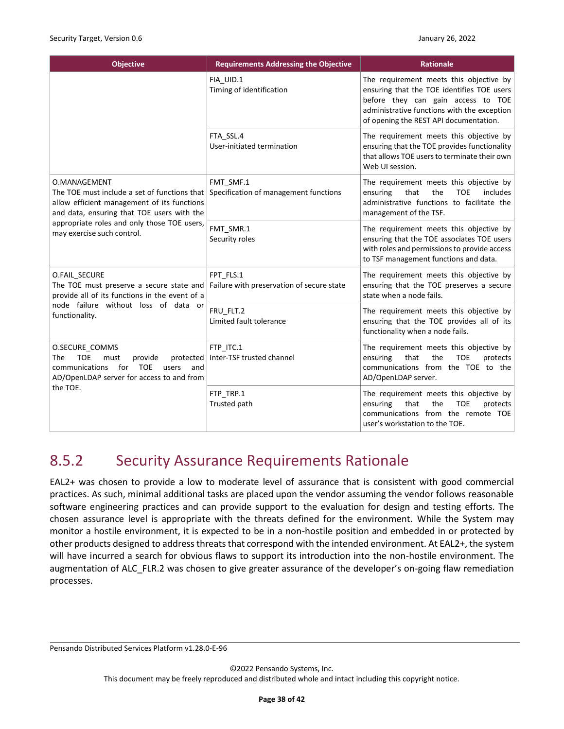| <b>Objective</b>                                                                                                                                                                                                                       | <b>Requirements Addressing the Objective</b>           | <b>Rationale</b>                                                                                                                                                                                                     |
|----------------------------------------------------------------------------------------------------------------------------------------------------------------------------------------------------------------------------------------|--------------------------------------------------------|----------------------------------------------------------------------------------------------------------------------------------------------------------------------------------------------------------------------|
|                                                                                                                                                                                                                                        | FIA_UID.1<br>Timing of identification                  | The requirement meets this objective by<br>ensuring that the TOE identifies TOE users<br>before they can gain access to TOE<br>administrative functions with the exception<br>of opening the REST API documentation. |
|                                                                                                                                                                                                                                        | FTA SSL.4<br>User-initiated termination                | The requirement meets this objective by<br>ensuring that the TOE provides functionality<br>that allows TOE users to terminate their own<br>Web UI session.                                                           |
| O.MANAGEMENT<br>The TOE must include a set of functions that<br>allow efficient management of its functions<br>and data, ensuring that TOE users with the<br>appropriate roles and only those TOE users,<br>may exercise such control. | FMT SMF.1<br>Specification of management functions     | The requirement meets this objective by<br><b>TOE</b><br>that<br>the<br>includes<br>ensuring<br>administrative functions to facilitate the<br>management of the TSF.                                                 |
|                                                                                                                                                                                                                                        | FMT_SMR.1<br>Security roles                            | The requirement meets this objective by<br>ensuring that the TOE associates TOE users<br>with roles and permissions to provide access<br>to TSF management functions and data.                                       |
| O.FAIL SECURE<br>The TOE must preserve a secure state and<br>provide all of its functions in the event of a                                                                                                                            | FPT FLS.1<br>Failure with preservation of secure state | The requirement meets this objective by<br>ensuring that the TOE preserves a secure<br>state when a node fails.                                                                                                      |
| node failure without loss of data or<br>functionality.                                                                                                                                                                                 | FRU FLT.2<br>Limited fault tolerance                   | The requirement meets this objective by<br>ensuring that the TOE provides all of its<br>functionality when a node fails.                                                                                             |
| O.SECURE_COMMS<br><b>TOE</b><br>protected<br>The<br>must<br>provide<br><b>TOE</b><br>communications<br>for<br>users<br>and<br>AD/OpenLDAP server for access to and from                                                                | FTP ITC.1<br>Inter-TSF trusted channel                 | The requirement meets this objective by<br>the<br><b>TOE</b><br>ensuring<br>that<br>protects<br>communications from the TOE to the<br>AD/OpenLDAP server.                                                            |
| the TOE.                                                                                                                                                                                                                               | FTP TRP.1<br>Trusted path                              | The requirement meets this objective by<br>that<br>the<br><b>TOE</b><br>protects<br>ensuring<br>communications from the remote TOE<br>user's workstation to the TOE.                                                 |

## <span id="page-37-0"></span>8.5.2 Security Assurance Requirements Rationale

EAL2+ was chosen to provide a low to moderate level of assurance that is consistent with good commercial practices. As such, minimal additional tasks are placed upon the vendor assuming the vendor follows reasonable software engineering practices and can provide support to the evaluation for design and testing efforts. The chosen assurance level is appropriate with the threats defined for the environment. While the System may monitor a hostile environment, it is expected to be in a non-hostile position and embedded in or protected by other products designed to address threats that correspond with the intended environment. At EAL2+, the system will have incurred a search for obvious flaws to support its introduction into the non-hostile environment. The augmentation of ALC FLR.2 was chosen to give greater assurance of the developer's on-going flaw remediation processes.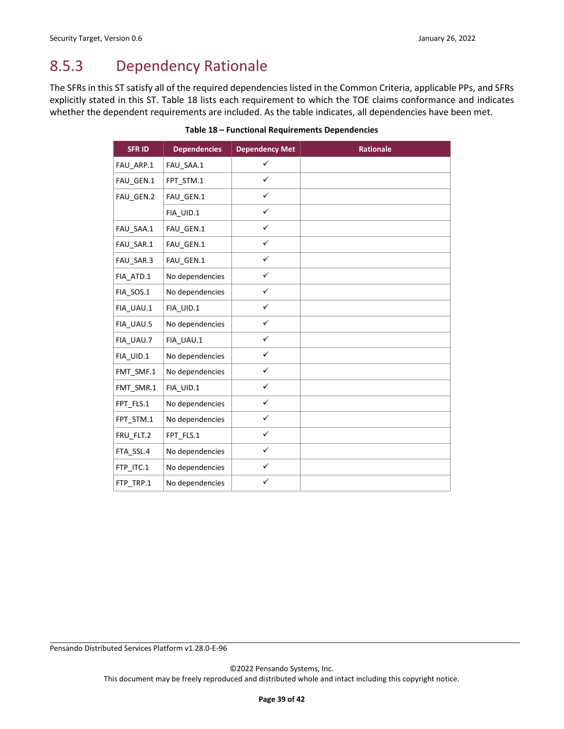## <span id="page-38-0"></span>8.5.3 Dependency Rationale

<span id="page-38-1"></span>The SFRs in this ST satisfy all of the required dependencies listed in the Common Criteria, applicable PPs, and SFRs explicitly stated in this ST. Table 18 lists each requirement to which the TOE claims conformance and indicates whether the dependent requirements are included. As the table indicates, all dependencies have been met.

| <b>SFRID</b> | <b>Dependencies</b> | <b>Dependency Met</b> | <b>Rationale</b> |
|--------------|---------------------|-----------------------|------------------|
| FAU_ARP.1    | FAU_SAA.1           | $\checkmark$          |                  |
| FAU GEN.1    | FPT STM.1           | $\checkmark$          |                  |
| FAU GEN.2    | FAU GEN.1           | $\checkmark$          |                  |
|              | FIA UID.1           | $\checkmark$          |                  |
| FAU SAA.1    | FAU GEN.1           | $\checkmark$          |                  |
| FAU SAR.1    | FAU GEN.1           | $\checkmark$          |                  |
| FAU_SAR.3    | FAU GEN.1           | $\checkmark$          |                  |
| FIA_ATD.1    | No dependencies     | $\checkmark$          |                  |
| FIA_SOS.1    | No dependencies     | $\checkmark$          |                  |
| FIA_UAU.1    | FIA_UID.1           | $\checkmark$          |                  |
| FIA UAU.5    | No dependencies     | $\checkmark$          |                  |
| FIA UAU.7    | FIA UAU.1           | $\checkmark$          |                  |
| FIA UID.1    | No dependencies     | $\checkmark$          |                  |
| FMT_SMF.1    | No dependencies     | $\checkmark$          |                  |
| FMT_SMR.1    | FIA UID.1           | $\checkmark$          |                  |
| FPT FLS.1    | No dependencies     | $\checkmark$          |                  |
| FPT_STM.1    | No dependencies     | $\checkmark$          |                  |
| FRU_FLT.2    | FPT_FLS.1           | $\checkmark$          |                  |
| FTA_SSL.4    | No dependencies     | $\checkmark$          |                  |
| FTP_ITC.1    | No dependencies     | $\checkmark$          |                  |
| FTP_TRP.1    | No dependencies     | $\checkmark$          |                  |

**Table 18 – Functional Requirements Dependencies**

Pensando Distributed Services Platform v1.28.0-E-96

©2022 Pensando Systems, Inc.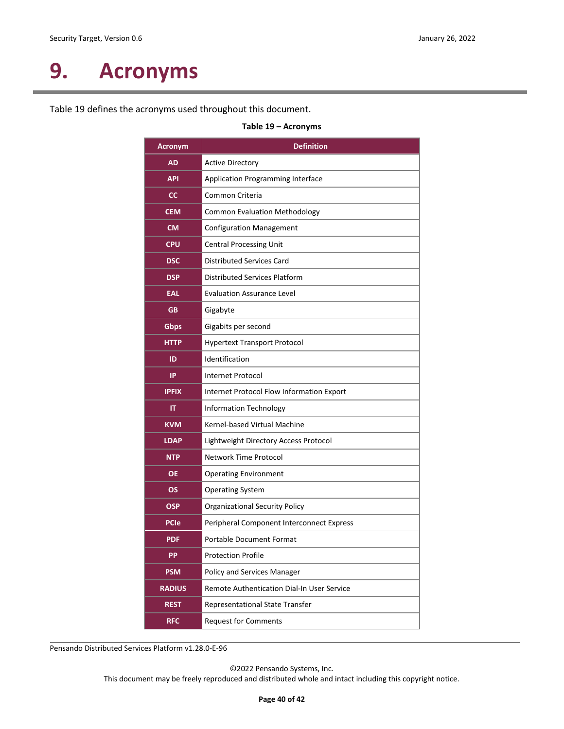# <span id="page-39-0"></span>**9. Acronyms**

<span id="page-39-1"></span>[Table 19](#page-39-1) defines the acronyms used throughout this document.

| <b>Acronym</b> | <b>Definition</b>                          |
|----------------|--------------------------------------------|
| AD             | <b>Active Directory</b>                    |
| <b>API</b>     | Application Programming Interface          |
| <sub>cc</sub>  | Common Criteria                            |
| <b>CEM</b>     | <b>Common Evaluation Methodology</b>       |
| <b>CM</b>      | <b>Configuration Management</b>            |
| <b>CPU</b>     | <b>Central Processing Unit</b>             |
| <b>DSC</b>     | <b>Distributed Services Card</b>           |
| <b>DSP</b>     | <b>Distributed Services Platform</b>       |
| EAL            | <b>Evaluation Assurance Level</b>          |
| <b>GB</b>      | Gigabyte                                   |
| Gbps           | Gigabits per second                        |
| <b>HTTP</b>    | <b>Hypertext Transport Protocol</b>        |
| ID             | Identification                             |
| <b>IP</b>      | Internet Protocol                          |
| <b>IPFIX</b>   | Internet Protocol Flow Information Export  |
| IT             | <b>Information Technology</b>              |
| <b>KVM</b>     | Kernel-based Virtual Machine               |
| <b>LDAP</b>    | Lightweight Directory Access Protocol      |
| <b>NTP</b>     | Network Time Protocol                      |
| <b>OE</b>      | <b>Operating Environment</b>               |
| <b>OS</b>      | <b>Operating System</b>                    |
| OSP            | <b>Organizational Security Policy</b>      |
| <b>PCIe</b>    | Peripheral Component Interconnect Express  |
| <b>PDF</b>     | <b>Portable Document Format</b>            |
| <b>PP</b>      | <b>Protection Profile</b>                  |
| <b>PSM</b>     | Policy and Services Manager                |
| <b>RADIUS</b>  | Remote Authentication Dial-In User Service |
| <b>REST</b>    | Representational State Transfer            |
| <b>RFC</b>     | <b>Request for Comments</b>                |

**Table 19 – Acronyms**

Pensando Distributed Services Platform v1.28.0-E-96

©2022 Pensando Systems, Inc.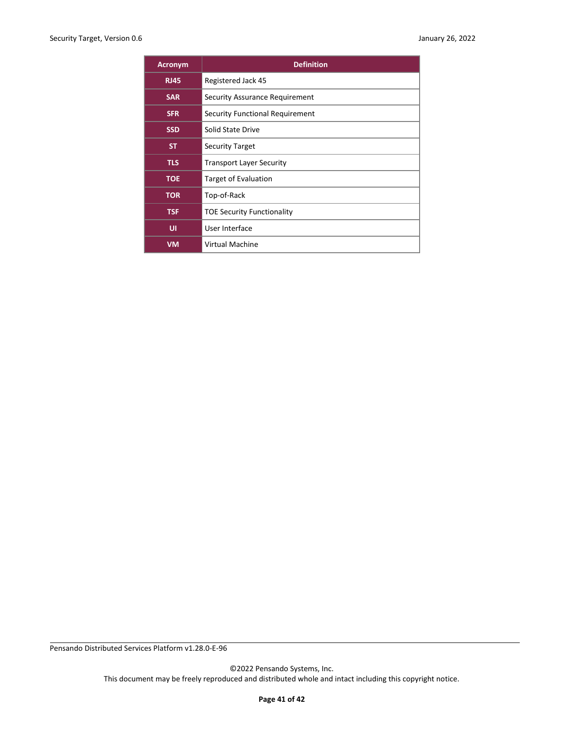| <b>Acronym</b> | <b>Definition</b>                 |
|----------------|-----------------------------------|
| <b>RJ45</b>    | Registered Jack 45                |
| <b>SAR</b>     | Security Assurance Requirement    |
| <b>SFR</b>     | Security Functional Requirement   |
| <b>SSD</b>     | Solid State Drive                 |
| <b>ST</b>      | <b>Security Target</b>            |
| <b>TLS</b>     | <b>Transport Layer Security</b>   |
| <b>TOE</b>     | <b>Target of Evaluation</b>       |
| <b>TOR</b>     | Top-of-Rack                       |
| <b>TSF</b>     | <b>TOE Security Functionality</b> |
| UI             | User Interface                    |
| VM             | Virtual Machine                   |